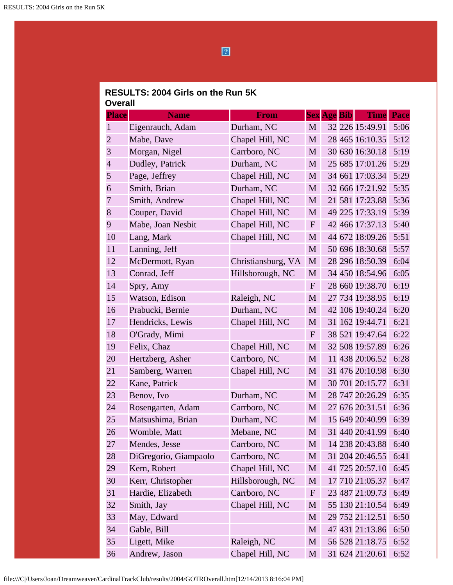$\boxed{2}$ 

## **RESULTS: 2004 Girls on the Run 5K Overall**

| <b>Place</b>   | <b>Name</b>           | <b>From</b>        |              | <b>Sex Age Bib</b> | <b>Time</b>     | <b>Pace</b> |
|----------------|-----------------------|--------------------|--------------|--------------------|-----------------|-------------|
| 1              | Eigenrauch, Adam      | Durham, NC         | M            |                    | 32 226 15:49.91 | 5:06        |
| $\overline{2}$ | Mabe, Dave            | Chapel Hill, NC    | M            |                    | 28 465 16:10.35 | 5:12        |
| 3              | Morgan, Nigel         | Carrboro, NC       | M            |                    | 30 630 16:30.18 | 5:19        |
| $\overline{4}$ | Dudley, Patrick       | Durham, NC         | M            |                    | 25 685 17:01.26 | 5:29        |
| 5              | Page, Jeffrey         | Chapel Hill, NC    | M            |                    | 34 661 17:03.34 | 5:29        |
| 6              | Smith, Brian          | Durham, NC         | M            |                    | 32 666 17:21.92 | 5:35        |
| 7              | Smith, Andrew         | Chapel Hill, NC    | M            |                    | 21 581 17:23.88 | 5:36        |
| 8              | Couper, David         | Chapel Hill, NC    | M            |                    | 49 225 17:33.19 | 5:39        |
| 9              | Mabe, Joan Nesbit     | Chapel Hill, NC    | $\mathbf{F}$ |                    | 42 466 17:37.13 | 5:40        |
| 10             | Lang, Mark            | Chapel Hill, NC    | M            |                    | 44 672 18:09.26 | 5:51        |
| 11             | Lanning, Jeff         |                    | M            |                    | 50 696 18:30.68 | 5:57        |
| 12             | McDermott, Ryan       | Christiansburg, VA | M            |                    | 28 296 18:50.39 | 6:04        |
| 13             | Conrad, Jeff          | Hillsborough, NC   | M            |                    | 34 450 18:54.96 | 6:05        |
| 14             | Spry, Amy             |                    | $\mathbf F$  |                    | 28 660 19:38.70 | 6:19        |
| 15             | Watson, Edison        | Raleigh, NC        | M            |                    | 27 734 19:38.95 | 6:19        |
| 16             | Prabucki, Bernie      | Durham, NC         | M            |                    | 42 106 19:40.24 | 6:20        |
| 17             | Hendricks, Lewis      | Chapel Hill, NC    | M            |                    | 31 162 19:44.71 | 6:21        |
| 18             | O'Grady, Mimi         |                    | $\mathbf{F}$ |                    | 38 521 19:47.64 | 6:22        |
| 19             | Felix, Chaz           | Chapel Hill, NC    | M            |                    | 32 508 19:57.89 | 6:26        |
| 20             | Hertzberg, Asher      | Carrboro, NC       | M            |                    | 11 438 20:06.52 | 6:28        |
| 21             | Samberg, Warren       | Chapel Hill, NC    | M            |                    | 31 476 20:10.98 | 6:30        |
| 22             | Kane, Patrick         |                    | M            |                    | 30 701 20:15.77 | 6:31        |
| 23             | Benov, Ivo            | Durham, NC         | M            |                    | 28 747 20:26.29 | 6:35        |
| 24             | Rosengarten, Adam     | Carrboro, NC       | M            |                    | 27 676 20:31.51 | 6:36        |
| 25             | Matsushima, Brian     | Durham, NC         | M            |                    | 15 649 20:40.99 | 6:39        |
| 26             | Womble, Matt          | Mebane, NC         | M            |                    | 31 440 20:41.99 | 6:40        |
| 27             | Mendes, Jesse         | Carrboro, NC       | M            |                    | 14 238 20:43.88 | 6:40        |
| 28             | DiGregorio, Giampaolo | Carrboro, NC       | M            |                    | 31 204 20:46.55 | 6:41        |
| 29             | Kern, Robert          | Chapel Hill, NC    | M            |                    | 41 725 20:57.10 | 6:45        |
| 30             | Kerr, Christopher     | Hillsborough, NC   | M            |                    | 17 710 21:05.37 | 6:47        |
| 31             | Hardie, Elizabeth     | Carrboro, NC       | F            |                    | 23 487 21:09.73 | 6:49        |
| 32             | Smith, Jay            | Chapel Hill, NC    | M            |                    | 55 130 21:10.54 | 6:49        |
| 33             | May, Edward           |                    | M            |                    | 29 752 21:12.51 | 6:50        |
| 34             | Gable, Bill           |                    | M            |                    | 47 431 21:13.86 | 6:50        |
| 35             | Ligett, Mike          | Raleigh, NC        | M            |                    | 56 528 21:18.75 | 6:52        |
| 36             | Andrew, Jason         | Chapel Hill, NC    | M            |                    | 31 624 21:20.61 | 6:52        |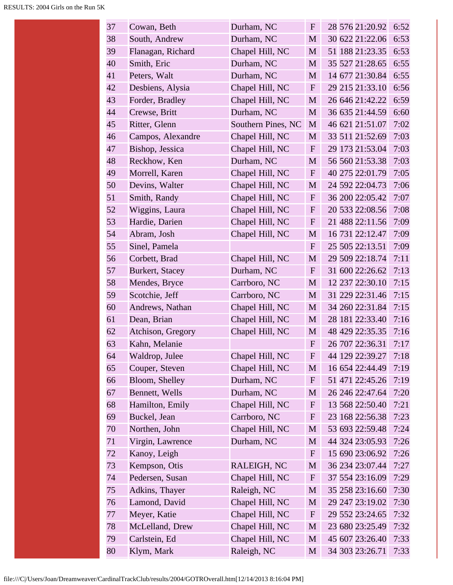| 37 | Cowan, Beth            | Durham, NC         | $\mathbf{F}$ | 28 576 21:20.92 | 6:52 |
|----|------------------------|--------------------|--------------|-----------------|------|
| 38 | South, Andrew          | Durham, NC         | M            | 30 622 21:22.06 | 6:53 |
| 39 | Flanagan, Richard      | Chapel Hill, NC    | M            | 51 188 21:23.35 | 6:53 |
| 40 | Smith, Eric            | Durham, NC         | M            | 35 527 21:28.65 | 6:55 |
| 41 | Peters, Walt           | Durham, NC         | M            | 14 677 21:30.84 | 6:55 |
| 42 | Desbiens, Alysia       | Chapel Hill, NC    | $\mathbf{F}$ | 29 215 21:33.10 | 6:56 |
| 43 | Forder, Bradley        | Chapel Hill, NC    | M            | 26 646 21:42.22 | 6:59 |
| 44 | Crewse, Britt          | Durham, NC         | M            | 36 635 21:44.59 | 6:60 |
| 45 | Ritter, Glenn          | Southern Pines, NC | M            | 46 621 21:51.07 | 7:02 |
| 46 | Campos, Alexandre      | Chapel Hill, NC    | M            | 33 511 21:52.69 | 7:03 |
| 47 | Bishop, Jessica        | Chapel Hill, NC    | $\mathbf{F}$ | 29 173 21:53.04 | 7:03 |
| 48 | Reckhow, Ken           | Durham, NC         | M            | 56 560 21:53.38 | 7:03 |
| 49 | Morrell, Karen         | Chapel Hill, NC    | $\mathbf{F}$ | 40 275 22:01.79 | 7:05 |
| 50 | Devins, Walter         | Chapel Hill, NC    | M            | 24 592 22:04.73 | 7:06 |
| 51 | Smith, Randy           | Chapel Hill, NC    | $\mathbf{F}$ | 36 200 22:05.42 | 7:07 |
| 52 | Wiggins, Laura         | Chapel Hill, NC    | $\mathbf{F}$ | 20 533 22:08.56 | 7:08 |
| 53 | Hardie, Darien         | Chapel Hill, NC    | $\mathbf{F}$ | 21 488 22:11.56 | 7:09 |
| 54 | Abram, Josh            | Chapel Hill, NC    | M            | 16 731 22:12.47 | 7:09 |
| 55 | Sinel, Pamela          |                    | $\mathbf{F}$ | 25 505 22:13.51 | 7:09 |
| 56 | Corbett, Brad          | Chapel Hill, NC    | M            | 29 509 22:18.74 | 7:11 |
| 57 | <b>Burkert, Stacey</b> | Durham, NC         | $\mathbf{F}$ | 31 600 22:26.62 | 7:13 |
| 58 | Mendes, Bryce          | Carrboro, NC       | M            | 12 237 22:30.10 | 7:15 |
| 59 | Scotchie, Jeff         | Carrboro, NC       | M            | 31 229 22:31.46 | 7:15 |
| 60 | Andrews, Nathan        | Chapel Hill, NC    | M            | 34 260 22:31.84 | 7:15 |
| 61 | Dean, Brian            | Chapel Hill, NC    | M            | 28 181 22:33.40 | 7:16 |
| 62 | Atchison, Gregory      | Chapel Hill, NC    | M            | 48 429 22:35.35 | 7:16 |
| 63 | Kahn, Melanie          |                    | $\mathbf{F}$ | 26 707 22:36.31 | 7:17 |
| 64 | Waldrop, Julee         | Chapel Hill, NC    | $\mathbf F$  | 44 129 22:39.27 | 7:18 |
| 65 | Couper, Steven         | Chapel Hill, NC    | M            | 16 654 22:44.49 | 7:19 |
| 66 | Bloom, Shelley         | Durham, NC         | $\mathbf F$  | 51 471 22:45.26 | 7:19 |
| 67 | Bennett, Wells         | Durham, NC         | M            | 26 246 22:47.64 | 7:20 |
| 68 | Hamilton, Emily        | Chapel Hill, NC    | $\mathbf F$  | 13 568 22:50.40 | 7:21 |
| 69 | Buckel, Jean           | Carrboro, NC       | $\mathbf F$  | 23 168 22:56.38 | 7:23 |
| 70 | Northen, John          | Chapel Hill, NC    | M            | 53 693 22:59.48 | 7:24 |
| 71 | Virgin, Lawrence       | Durham, NC         | M            | 44 324 23:05.93 | 7:26 |
| 72 | Kanoy, Leigh           |                    | $\mathbf{F}$ | 15 690 23:06.92 | 7:26 |
| 73 | Kempson, Otis          | RALEIGH, NC        | M            | 36 234 23:07.44 | 7:27 |
| 74 | Pedersen, Susan        | Chapel Hill, NC    | $\mathbf F$  | 37 554 23:16.09 | 7:29 |
| 75 | Adkins, Thayer         | Raleigh, NC        | M            | 35 258 23:16.60 | 7:30 |
| 76 | Lamond, David          | Chapel Hill, NC    | M            | 29 247 23:19.02 | 7:30 |
| 77 | Meyer, Katie           | Chapel Hill, NC    | $\mathbf F$  | 29 552 23:24.65 | 7:32 |
| 78 | McLelland, Drew        | Chapel Hill, NC    | M            | 23 680 23:25.49 | 7:32 |
| 79 | Carlstein, Ed          | Chapel Hill, NC    | M            | 45 607 23:26.40 | 7:33 |
| 80 | Klym, Mark             | Raleigh, NC        | M            | 34 303 23:26.71 | 7:33 |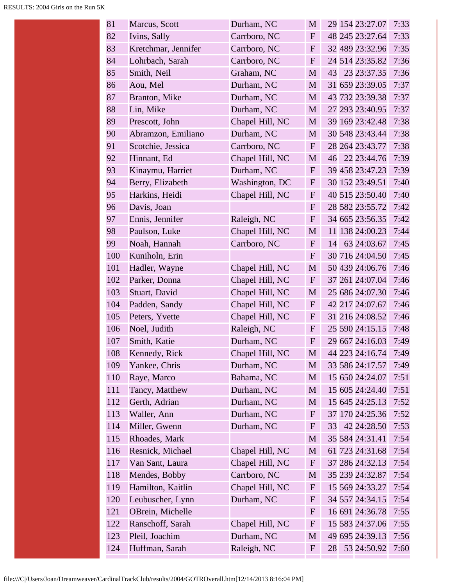| 81  | Marcus, Scott       | Durham, NC      | M            |    | 29 154 23:27.07 | 7:33 |
|-----|---------------------|-----------------|--------------|----|-----------------|------|
| 82  | Ivins, Sally        | Carrboro, NC    | $\mathbf{F}$ |    | 48 245 23:27.64 | 7:33 |
| 83  | Kretchmar, Jennifer | Carrboro, NC    | $\mathbf{F}$ |    | 32 489 23:32.96 | 7:35 |
| 84  | Lohrbach, Sarah     | Carrboro, NC    | $\mathbf{F}$ |    | 24 514 23:35.82 | 7:36 |
| 85  | Smith, Neil         | Graham, NC      | M            | 43 | 23 23:37.35     | 7:36 |
| 86  | Aou, Mel            | Durham, NC      | M            |    | 31 659 23:39.05 | 7:37 |
| 87  | Branton, Mike       | Durham, NC      | M            |    | 43 732 23:39.38 | 7:37 |
| 88  | Lin, Mike           | Durham, NC      | M            |    | 27 293 23:40.95 | 7:37 |
| 89  | Prescott, John      | Chapel Hill, NC | M            |    | 39 169 23:42.48 | 7:38 |
| 90  | Abramzon, Emiliano  | Durham, NC      | M            |    | 30 548 23:43.44 | 7:38 |
| 91  | Scotchie, Jessica   | Carrboro, NC    | $F_{\rm}$    |    | 28 264 23:43.77 | 7:38 |
| 92  | Hinnant, Ed         | Chapel Hill, NC | M            |    | 46 22 23:44.76  | 7:39 |
| 93  | Kinaymu, Harriet    | Durham, NC      | $\mathbf{F}$ |    | 39 458 23:47.23 | 7:39 |
| 94  | Berry, Elizabeth    | Washington, DC  | $\mathbf{F}$ |    | 30 152 23:49.51 | 7:40 |
| 95  | Harkins, Heidi      | Chapel Hill, NC | $\mathbf{F}$ |    | 40 515 23:50.40 | 7:40 |
| 96  | Davis, Joan         |                 | $\mathbf{F}$ |    | 28 582 23:55.72 | 7:42 |
| 97  | Ennis, Jennifer     | Raleigh, NC     | $\mathbf{F}$ |    | 34 665 23:56.35 | 7:42 |
| 98  | Paulson, Luke       | Chapel Hill, NC | M            |    | 11 138 24:00.23 | 7:44 |
| 99  | Noah, Hannah        | Carrboro, NC    | $F_{\rm}$    | 14 | 63 24:03.67     | 7:45 |
| 100 | Kuniholn, Erin      |                 | $\mathbf F$  |    | 30 716 24:04.50 | 7:45 |
| 101 | Hadler, Wayne       | Chapel Hill, NC | M            |    | 50 439 24:06.76 | 7:46 |
| 102 | Parker, Donna       | Chapel Hill, NC | $\mathbf{F}$ |    | 37 261 24:07.04 | 7:46 |
| 103 | Stuart, David       | Chapel Hill, NC | M            |    | 25 686 24:07.30 | 7:46 |
| 104 | Padden, Sandy       | Chapel Hill, NC | $\mathbf F$  |    | 42 217 24:07.67 | 7:46 |
| 105 | Peters, Yvette      | Chapel Hill, NC | $\mathbf F$  |    | 31 216 24:08.52 | 7:46 |
| 106 | Noel, Judith        | Raleigh, NC     | $\mathbf F$  |    | 25 590 24:15.15 | 7:48 |
| 107 | Smith, Katie        | Durham, NC      | $\mathbf{F}$ |    | 29 667 24:16.03 | 7:49 |
| 108 | Kennedy, Rick       | Chapel Hill, NC | M            |    | 44 223 24:16.74 | 7:49 |
| 109 | Yankee, Chris       | Durham, NC      | M            |    | 33 586 24:17.57 | 7:49 |
| 110 | Raye, Marco         | Bahama, NC      | M            |    | 15 650 24:24.07 | 7:51 |
| 111 | Tancy, Matthew      | Durham, NC      | M            |    | 15 605 24:24.40 | 7:51 |
| 112 | Gerth, Adrian       | Durham, NC      | M            |    | 15 645 24:25.13 | 7:52 |
| 113 | Waller, Ann         | Durham, NC      | F            |    | 37 170 24:25.36 | 7:52 |
| 114 | Miller, Gwenn       | Durham, NC      | $\mathbf F$  | 33 | 42 24:28.50     | 7:53 |
| 115 | Rhoades, Mark       |                 | M            |    | 35 584 24:31.41 | 7:54 |
| 116 | Resnick, Michael    | Chapel Hill, NC | M            |    | 61 723 24:31.68 | 7:54 |
| 117 | Van Sant, Laura     | Chapel Hill, NC | F            |    | 37 286 24:32.13 | 7:54 |
| 118 | Mendes, Bobby       | Carrboro, NC    | M            |    | 35 239 24:32.87 | 7:54 |
| 119 | Hamilton, Kaitlin   | Chapel Hill, NC | $\mathbf F$  |    | 15 569 24:33.27 | 7:54 |
| 120 | Leubuscher, Lynn    | Durham, NC      | F            |    | 34 557 24:34.15 | 7:54 |
| 121 | OBrein, Michelle    |                 | F            |    | 16 691 24:36.78 | 7:55 |
| 122 | Ranschoff, Sarah    | Chapel Hill, NC | $\mathbf F$  |    | 15 583 24:37.06 | 7:55 |
| 123 | Pleil, Joachim      | Durham, NC      | M            |    | 49 695 24:39.13 | 7:56 |
| 124 | Huffman, Sarah      | Raleigh, NC     | F            | 28 | 53 24:50.92     | 7:60 |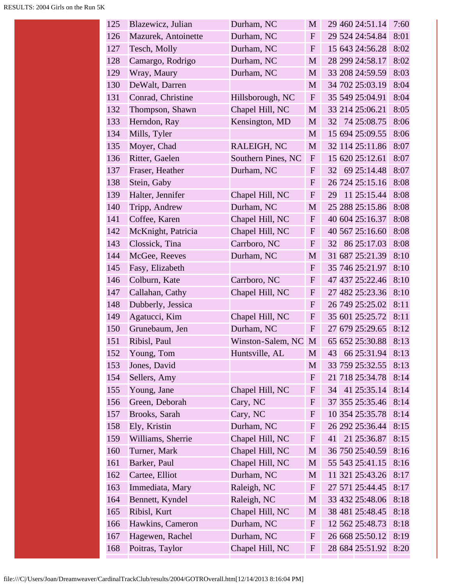| 126<br>29 524 24:54.84<br>Durham, NC<br>Mazurek, Antoinette<br>$\mathbf{F}$<br>127<br>15 643 24:56.28<br>Tesch, Molly<br>Durham, NC<br>$\mathbf{F}$<br>28 299 24:58.17<br>128<br>Durham, NC<br>Camargo, Rodrigo<br>M<br>129<br>33 208 24:59.59<br>Wray, Maury<br>Durham, NC<br>M<br>130<br>34 702 25:03.19<br>DeWalt, Darren<br>M<br>131<br>Conrad, Christine<br>35 549 25:04.91<br>Hillsborough, NC<br>$\mathbf F$<br>33 214 25:06.21<br>132<br>Chapel Hill, NC<br>Thompson, Shawn<br>M<br>133<br>74 25:08.75<br>Herndon, Ray<br>Kensington, MD<br>32<br>M<br>134<br>Mills, Tyler<br>M<br>15 694 25:09.55<br>135<br>32 114 25:11.86<br>Moyer, Chad<br>RALEIGH, NC<br>M<br>136<br>Southern Pines, NC<br>15 620 25:12.61<br>Ritter, Gaelen<br>F<br>137<br>69 25:14.48<br>Fraser, Heather<br>Durham, NC<br>$\boldsymbol{F}$<br>32<br>138<br>Stein, Gaby<br>26 724 25:15.16<br>$\boldsymbol{F}$<br>11 25:15.44<br>139<br>Halter, Jennifer<br>Chapel Hill, NC<br>${\bf F}$<br>29<br>140<br>Durham, NC<br>25 288 25:15.86<br>Tripp, Andrew<br>M<br>141<br>40 604 25:16.37<br>Coffee, Karen<br>Chapel Hill, NC<br>$\boldsymbol{F}$<br>142<br>McKnight, Patricia<br>Chapel Hill, NC<br>40 567 25:16.60<br>${\bf F}$<br>143<br>Clossick, Tina<br>86 25:17.03<br>Carrboro, NC<br>$\mathbf{F}$<br>32<br>144<br>Durham, NC<br>31 687 25:21.39<br>McGee, Reeves<br>M<br>35 746 25:21.97<br>145<br>Fasy, Elizabeth<br>$\boldsymbol{F}$<br>146<br>Colburn, Kate<br>Carrboro, NC<br>${\bf F}$<br>47 437 25:22.46<br>147<br>Callahan, Cathy<br>Chapel Hill, NC<br>27 482 25:23.36<br>$\boldsymbol{F}$<br>26 749 25:25.02<br>148<br>Dubberly, Jessica<br>$\boldsymbol{F}$<br>149<br>Chapel Hill, NC<br>35 601 25:25.72<br>Agatucci, Kim<br>$\boldsymbol{F}$<br>150<br>27 679 25:29.65<br>Grunebaum, Jen<br>Durham, NC<br>$\mathbf F$<br>65 652 25:30.88<br>151<br>Ribisl, Paul<br>Winston-Salem, NC<br>M<br>66 25:31.94<br>152<br>Young, Tom<br>Huntsville, AL<br>M<br>43<br>153<br>Jones, David<br>33 759 25:32.55<br>M<br>154<br>Sellers, Amy<br>21 718 25:34.78<br>$\mathbf F$<br>Chapel Hill, NC<br>41 25:35.14<br>155<br>Young, Jane<br>$\boldsymbol{F}$<br>34<br>156<br>Cary, NC<br>37 355 25:35.46<br>Green, Deborah<br>F<br>10 354 25:35.78<br>157<br>Cary, NC<br>Brooks, Sarah<br>$\boldsymbol{F}$<br>158<br>Ely, Kristin<br>Durham, NC<br>26 292 25:36.44<br>${\bf F}$<br>Chapel Hill, NC<br>159<br>Williams, Sherrie<br>21 25:36.87<br>F<br>41<br>36 750 25:40.59<br>Turner, Mark<br>Chapel Hill, NC<br>160<br>M<br>Chapel Hill, NC<br>55 543 25:41.15<br>161<br>Barker, Paul<br>M<br>162<br>Cartee, Elliot<br>11 321 25:43.26<br>Durham, NC<br>M<br>27 571 25:44.45<br>163<br>Immediata, Mary<br>Raleigh, NC<br>$\mathbf F$<br>Bennett, Kyndel<br>Raleigh, NC<br>33 432 25:48.06<br>164<br>M<br>Chapel Hill, NC<br>165<br>Ribisl, Kurt<br>38 481 25:48.45<br>M<br>166<br>Hawkins, Cameron<br>Durham, NC<br>12 562 25:48.73<br>$\mathbf{F}$ | 125 | Blazewicz, Julian | Durham, NC | M |  | 29 460 24:51.14 | 7:60 |
|---------------------------------------------------------------------------------------------------------------------------------------------------------------------------------------------------------------------------------------------------------------------------------------------------------------------------------------------------------------------------------------------------------------------------------------------------------------------------------------------------------------------------------------------------------------------------------------------------------------------------------------------------------------------------------------------------------------------------------------------------------------------------------------------------------------------------------------------------------------------------------------------------------------------------------------------------------------------------------------------------------------------------------------------------------------------------------------------------------------------------------------------------------------------------------------------------------------------------------------------------------------------------------------------------------------------------------------------------------------------------------------------------------------------------------------------------------------------------------------------------------------------------------------------------------------------------------------------------------------------------------------------------------------------------------------------------------------------------------------------------------------------------------------------------------------------------------------------------------------------------------------------------------------------------------------------------------------------------------------------------------------------------------------------------------------------------------------------------------------------------------------------------------------------------------------------------------------------------------------------------------------------------------------------------------------------------------------------------------------------------------------------------------------------------------------------------------------------------------------------------------------------------------------------------------------------------------------------------------------------------------------------------------------------------------------------------------------------------------------------------------------------------------------------------------------------------------------------------------------------------------------------------------------------------------------|-----|-------------------|------------|---|--|-----------------|------|
|                                                                                                                                                                                                                                                                                                                                                                                                                                                                                                                                                                                                                                                                                                                                                                                                                                                                                                                                                                                                                                                                                                                                                                                                                                                                                                                                                                                                                                                                                                                                                                                                                                                                                                                                                                                                                                                                                                                                                                                                                                                                                                                                                                                                                                                                                                                                                                                                                                                                                                                                                                                                                                                                                                                                                                                                                                                                                                                                       |     |                   |            |   |  |                 | 8:01 |
|                                                                                                                                                                                                                                                                                                                                                                                                                                                                                                                                                                                                                                                                                                                                                                                                                                                                                                                                                                                                                                                                                                                                                                                                                                                                                                                                                                                                                                                                                                                                                                                                                                                                                                                                                                                                                                                                                                                                                                                                                                                                                                                                                                                                                                                                                                                                                                                                                                                                                                                                                                                                                                                                                                                                                                                                                                                                                                                                       |     |                   |            |   |  |                 | 8:02 |
|                                                                                                                                                                                                                                                                                                                                                                                                                                                                                                                                                                                                                                                                                                                                                                                                                                                                                                                                                                                                                                                                                                                                                                                                                                                                                                                                                                                                                                                                                                                                                                                                                                                                                                                                                                                                                                                                                                                                                                                                                                                                                                                                                                                                                                                                                                                                                                                                                                                                                                                                                                                                                                                                                                                                                                                                                                                                                                                                       |     |                   |            |   |  |                 | 8:02 |
|                                                                                                                                                                                                                                                                                                                                                                                                                                                                                                                                                                                                                                                                                                                                                                                                                                                                                                                                                                                                                                                                                                                                                                                                                                                                                                                                                                                                                                                                                                                                                                                                                                                                                                                                                                                                                                                                                                                                                                                                                                                                                                                                                                                                                                                                                                                                                                                                                                                                                                                                                                                                                                                                                                                                                                                                                                                                                                                                       |     |                   |            |   |  |                 | 8:03 |
|                                                                                                                                                                                                                                                                                                                                                                                                                                                                                                                                                                                                                                                                                                                                                                                                                                                                                                                                                                                                                                                                                                                                                                                                                                                                                                                                                                                                                                                                                                                                                                                                                                                                                                                                                                                                                                                                                                                                                                                                                                                                                                                                                                                                                                                                                                                                                                                                                                                                                                                                                                                                                                                                                                                                                                                                                                                                                                                                       |     |                   |            |   |  |                 | 8:04 |
|                                                                                                                                                                                                                                                                                                                                                                                                                                                                                                                                                                                                                                                                                                                                                                                                                                                                                                                                                                                                                                                                                                                                                                                                                                                                                                                                                                                                                                                                                                                                                                                                                                                                                                                                                                                                                                                                                                                                                                                                                                                                                                                                                                                                                                                                                                                                                                                                                                                                                                                                                                                                                                                                                                                                                                                                                                                                                                                                       |     |                   |            |   |  |                 | 8:04 |
|                                                                                                                                                                                                                                                                                                                                                                                                                                                                                                                                                                                                                                                                                                                                                                                                                                                                                                                                                                                                                                                                                                                                                                                                                                                                                                                                                                                                                                                                                                                                                                                                                                                                                                                                                                                                                                                                                                                                                                                                                                                                                                                                                                                                                                                                                                                                                                                                                                                                                                                                                                                                                                                                                                                                                                                                                                                                                                                                       |     |                   |            |   |  |                 | 8:05 |
|                                                                                                                                                                                                                                                                                                                                                                                                                                                                                                                                                                                                                                                                                                                                                                                                                                                                                                                                                                                                                                                                                                                                                                                                                                                                                                                                                                                                                                                                                                                                                                                                                                                                                                                                                                                                                                                                                                                                                                                                                                                                                                                                                                                                                                                                                                                                                                                                                                                                                                                                                                                                                                                                                                                                                                                                                                                                                                                                       |     |                   |            |   |  |                 | 8:06 |
|                                                                                                                                                                                                                                                                                                                                                                                                                                                                                                                                                                                                                                                                                                                                                                                                                                                                                                                                                                                                                                                                                                                                                                                                                                                                                                                                                                                                                                                                                                                                                                                                                                                                                                                                                                                                                                                                                                                                                                                                                                                                                                                                                                                                                                                                                                                                                                                                                                                                                                                                                                                                                                                                                                                                                                                                                                                                                                                                       |     |                   |            |   |  |                 | 8:06 |
|                                                                                                                                                                                                                                                                                                                                                                                                                                                                                                                                                                                                                                                                                                                                                                                                                                                                                                                                                                                                                                                                                                                                                                                                                                                                                                                                                                                                                                                                                                                                                                                                                                                                                                                                                                                                                                                                                                                                                                                                                                                                                                                                                                                                                                                                                                                                                                                                                                                                                                                                                                                                                                                                                                                                                                                                                                                                                                                                       |     |                   |            |   |  |                 | 8:07 |
|                                                                                                                                                                                                                                                                                                                                                                                                                                                                                                                                                                                                                                                                                                                                                                                                                                                                                                                                                                                                                                                                                                                                                                                                                                                                                                                                                                                                                                                                                                                                                                                                                                                                                                                                                                                                                                                                                                                                                                                                                                                                                                                                                                                                                                                                                                                                                                                                                                                                                                                                                                                                                                                                                                                                                                                                                                                                                                                                       |     |                   |            |   |  |                 | 8:07 |
|                                                                                                                                                                                                                                                                                                                                                                                                                                                                                                                                                                                                                                                                                                                                                                                                                                                                                                                                                                                                                                                                                                                                                                                                                                                                                                                                                                                                                                                                                                                                                                                                                                                                                                                                                                                                                                                                                                                                                                                                                                                                                                                                                                                                                                                                                                                                                                                                                                                                                                                                                                                                                                                                                                                                                                                                                                                                                                                                       |     |                   |            |   |  |                 | 8:07 |
|                                                                                                                                                                                                                                                                                                                                                                                                                                                                                                                                                                                                                                                                                                                                                                                                                                                                                                                                                                                                                                                                                                                                                                                                                                                                                                                                                                                                                                                                                                                                                                                                                                                                                                                                                                                                                                                                                                                                                                                                                                                                                                                                                                                                                                                                                                                                                                                                                                                                                                                                                                                                                                                                                                                                                                                                                                                                                                                                       |     |                   |            |   |  |                 | 8:08 |
|                                                                                                                                                                                                                                                                                                                                                                                                                                                                                                                                                                                                                                                                                                                                                                                                                                                                                                                                                                                                                                                                                                                                                                                                                                                                                                                                                                                                                                                                                                                                                                                                                                                                                                                                                                                                                                                                                                                                                                                                                                                                                                                                                                                                                                                                                                                                                                                                                                                                                                                                                                                                                                                                                                                                                                                                                                                                                                                                       |     |                   |            |   |  |                 | 8:08 |
|                                                                                                                                                                                                                                                                                                                                                                                                                                                                                                                                                                                                                                                                                                                                                                                                                                                                                                                                                                                                                                                                                                                                                                                                                                                                                                                                                                                                                                                                                                                                                                                                                                                                                                                                                                                                                                                                                                                                                                                                                                                                                                                                                                                                                                                                                                                                                                                                                                                                                                                                                                                                                                                                                                                                                                                                                                                                                                                                       |     |                   |            |   |  |                 | 8:08 |
|                                                                                                                                                                                                                                                                                                                                                                                                                                                                                                                                                                                                                                                                                                                                                                                                                                                                                                                                                                                                                                                                                                                                                                                                                                                                                                                                                                                                                                                                                                                                                                                                                                                                                                                                                                                                                                                                                                                                                                                                                                                                                                                                                                                                                                                                                                                                                                                                                                                                                                                                                                                                                                                                                                                                                                                                                                                                                                                                       |     |                   |            |   |  |                 | 8:08 |
|                                                                                                                                                                                                                                                                                                                                                                                                                                                                                                                                                                                                                                                                                                                                                                                                                                                                                                                                                                                                                                                                                                                                                                                                                                                                                                                                                                                                                                                                                                                                                                                                                                                                                                                                                                                                                                                                                                                                                                                                                                                                                                                                                                                                                                                                                                                                                                                                                                                                                                                                                                                                                                                                                                                                                                                                                                                                                                                                       |     |                   |            |   |  |                 | 8:08 |
|                                                                                                                                                                                                                                                                                                                                                                                                                                                                                                                                                                                                                                                                                                                                                                                                                                                                                                                                                                                                                                                                                                                                                                                                                                                                                                                                                                                                                                                                                                                                                                                                                                                                                                                                                                                                                                                                                                                                                                                                                                                                                                                                                                                                                                                                                                                                                                                                                                                                                                                                                                                                                                                                                                                                                                                                                                                                                                                                       |     |                   |            |   |  |                 | 8:08 |
|                                                                                                                                                                                                                                                                                                                                                                                                                                                                                                                                                                                                                                                                                                                                                                                                                                                                                                                                                                                                                                                                                                                                                                                                                                                                                                                                                                                                                                                                                                                                                                                                                                                                                                                                                                                                                                                                                                                                                                                                                                                                                                                                                                                                                                                                                                                                                                                                                                                                                                                                                                                                                                                                                                                                                                                                                                                                                                                                       |     |                   |            |   |  |                 | 8:10 |
|                                                                                                                                                                                                                                                                                                                                                                                                                                                                                                                                                                                                                                                                                                                                                                                                                                                                                                                                                                                                                                                                                                                                                                                                                                                                                                                                                                                                                                                                                                                                                                                                                                                                                                                                                                                                                                                                                                                                                                                                                                                                                                                                                                                                                                                                                                                                                                                                                                                                                                                                                                                                                                                                                                                                                                                                                                                                                                                                       |     |                   |            |   |  |                 | 8:10 |
|                                                                                                                                                                                                                                                                                                                                                                                                                                                                                                                                                                                                                                                                                                                                                                                                                                                                                                                                                                                                                                                                                                                                                                                                                                                                                                                                                                                                                                                                                                                                                                                                                                                                                                                                                                                                                                                                                                                                                                                                                                                                                                                                                                                                                                                                                                                                                                                                                                                                                                                                                                                                                                                                                                                                                                                                                                                                                                                                       |     |                   |            |   |  |                 | 8:10 |
|                                                                                                                                                                                                                                                                                                                                                                                                                                                                                                                                                                                                                                                                                                                                                                                                                                                                                                                                                                                                                                                                                                                                                                                                                                                                                                                                                                                                                                                                                                                                                                                                                                                                                                                                                                                                                                                                                                                                                                                                                                                                                                                                                                                                                                                                                                                                                                                                                                                                                                                                                                                                                                                                                                                                                                                                                                                                                                                                       |     |                   |            |   |  |                 | 8:10 |
|                                                                                                                                                                                                                                                                                                                                                                                                                                                                                                                                                                                                                                                                                                                                                                                                                                                                                                                                                                                                                                                                                                                                                                                                                                                                                                                                                                                                                                                                                                                                                                                                                                                                                                                                                                                                                                                                                                                                                                                                                                                                                                                                                                                                                                                                                                                                                                                                                                                                                                                                                                                                                                                                                                                                                                                                                                                                                                                                       |     |                   |            |   |  |                 | 8:11 |
|                                                                                                                                                                                                                                                                                                                                                                                                                                                                                                                                                                                                                                                                                                                                                                                                                                                                                                                                                                                                                                                                                                                                                                                                                                                                                                                                                                                                                                                                                                                                                                                                                                                                                                                                                                                                                                                                                                                                                                                                                                                                                                                                                                                                                                                                                                                                                                                                                                                                                                                                                                                                                                                                                                                                                                                                                                                                                                                                       |     |                   |            |   |  |                 | 8:11 |
|                                                                                                                                                                                                                                                                                                                                                                                                                                                                                                                                                                                                                                                                                                                                                                                                                                                                                                                                                                                                                                                                                                                                                                                                                                                                                                                                                                                                                                                                                                                                                                                                                                                                                                                                                                                                                                                                                                                                                                                                                                                                                                                                                                                                                                                                                                                                                                                                                                                                                                                                                                                                                                                                                                                                                                                                                                                                                                                                       |     |                   |            |   |  |                 | 8:12 |
|                                                                                                                                                                                                                                                                                                                                                                                                                                                                                                                                                                                                                                                                                                                                                                                                                                                                                                                                                                                                                                                                                                                                                                                                                                                                                                                                                                                                                                                                                                                                                                                                                                                                                                                                                                                                                                                                                                                                                                                                                                                                                                                                                                                                                                                                                                                                                                                                                                                                                                                                                                                                                                                                                                                                                                                                                                                                                                                                       |     |                   |            |   |  |                 | 8:13 |
|                                                                                                                                                                                                                                                                                                                                                                                                                                                                                                                                                                                                                                                                                                                                                                                                                                                                                                                                                                                                                                                                                                                                                                                                                                                                                                                                                                                                                                                                                                                                                                                                                                                                                                                                                                                                                                                                                                                                                                                                                                                                                                                                                                                                                                                                                                                                                                                                                                                                                                                                                                                                                                                                                                                                                                                                                                                                                                                                       |     |                   |            |   |  |                 | 8:13 |
|                                                                                                                                                                                                                                                                                                                                                                                                                                                                                                                                                                                                                                                                                                                                                                                                                                                                                                                                                                                                                                                                                                                                                                                                                                                                                                                                                                                                                                                                                                                                                                                                                                                                                                                                                                                                                                                                                                                                                                                                                                                                                                                                                                                                                                                                                                                                                                                                                                                                                                                                                                                                                                                                                                                                                                                                                                                                                                                                       |     |                   |            |   |  |                 | 8:13 |
|                                                                                                                                                                                                                                                                                                                                                                                                                                                                                                                                                                                                                                                                                                                                                                                                                                                                                                                                                                                                                                                                                                                                                                                                                                                                                                                                                                                                                                                                                                                                                                                                                                                                                                                                                                                                                                                                                                                                                                                                                                                                                                                                                                                                                                                                                                                                                                                                                                                                                                                                                                                                                                                                                                                                                                                                                                                                                                                                       |     |                   |            |   |  |                 | 8:14 |
|                                                                                                                                                                                                                                                                                                                                                                                                                                                                                                                                                                                                                                                                                                                                                                                                                                                                                                                                                                                                                                                                                                                                                                                                                                                                                                                                                                                                                                                                                                                                                                                                                                                                                                                                                                                                                                                                                                                                                                                                                                                                                                                                                                                                                                                                                                                                                                                                                                                                                                                                                                                                                                                                                                                                                                                                                                                                                                                                       |     |                   |            |   |  |                 | 8:14 |
|                                                                                                                                                                                                                                                                                                                                                                                                                                                                                                                                                                                                                                                                                                                                                                                                                                                                                                                                                                                                                                                                                                                                                                                                                                                                                                                                                                                                                                                                                                                                                                                                                                                                                                                                                                                                                                                                                                                                                                                                                                                                                                                                                                                                                                                                                                                                                                                                                                                                                                                                                                                                                                                                                                                                                                                                                                                                                                                                       |     |                   |            |   |  |                 | 8:14 |
|                                                                                                                                                                                                                                                                                                                                                                                                                                                                                                                                                                                                                                                                                                                                                                                                                                                                                                                                                                                                                                                                                                                                                                                                                                                                                                                                                                                                                                                                                                                                                                                                                                                                                                                                                                                                                                                                                                                                                                                                                                                                                                                                                                                                                                                                                                                                                                                                                                                                                                                                                                                                                                                                                                                                                                                                                                                                                                                                       |     |                   |            |   |  |                 | 8:14 |
|                                                                                                                                                                                                                                                                                                                                                                                                                                                                                                                                                                                                                                                                                                                                                                                                                                                                                                                                                                                                                                                                                                                                                                                                                                                                                                                                                                                                                                                                                                                                                                                                                                                                                                                                                                                                                                                                                                                                                                                                                                                                                                                                                                                                                                                                                                                                                                                                                                                                                                                                                                                                                                                                                                                                                                                                                                                                                                                                       |     |                   |            |   |  |                 | 8:15 |
|                                                                                                                                                                                                                                                                                                                                                                                                                                                                                                                                                                                                                                                                                                                                                                                                                                                                                                                                                                                                                                                                                                                                                                                                                                                                                                                                                                                                                                                                                                                                                                                                                                                                                                                                                                                                                                                                                                                                                                                                                                                                                                                                                                                                                                                                                                                                                                                                                                                                                                                                                                                                                                                                                                                                                                                                                                                                                                                                       |     |                   |            |   |  |                 | 8:15 |
|                                                                                                                                                                                                                                                                                                                                                                                                                                                                                                                                                                                                                                                                                                                                                                                                                                                                                                                                                                                                                                                                                                                                                                                                                                                                                                                                                                                                                                                                                                                                                                                                                                                                                                                                                                                                                                                                                                                                                                                                                                                                                                                                                                                                                                                                                                                                                                                                                                                                                                                                                                                                                                                                                                                                                                                                                                                                                                                                       |     |                   |            |   |  |                 | 8:16 |
|                                                                                                                                                                                                                                                                                                                                                                                                                                                                                                                                                                                                                                                                                                                                                                                                                                                                                                                                                                                                                                                                                                                                                                                                                                                                                                                                                                                                                                                                                                                                                                                                                                                                                                                                                                                                                                                                                                                                                                                                                                                                                                                                                                                                                                                                                                                                                                                                                                                                                                                                                                                                                                                                                                                                                                                                                                                                                                                                       |     |                   |            |   |  |                 | 8:16 |
|                                                                                                                                                                                                                                                                                                                                                                                                                                                                                                                                                                                                                                                                                                                                                                                                                                                                                                                                                                                                                                                                                                                                                                                                                                                                                                                                                                                                                                                                                                                                                                                                                                                                                                                                                                                                                                                                                                                                                                                                                                                                                                                                                                                                                                                                                                                                                                                                                                                                                                                                                                                                                                                                                                                                                                                                                                                                                                                                       |     |                   |            |   |  |                 | 8:17 |
|                                                                                                                                                                                                                                                                                                                                                                                                                                                                                                                                                                                                                                                                                                                                                                                                                                                                                                                                                                                                                                                                                                                                                                                                                                                                                                                                                                                                                                                                                                                                                                                                                                                                                                                                                                                                                                                                                                                                                                                                                                                                                                                                                                                                                                                                                                                                                                                                                                                                                                                                                                                                                                                                                                                                                                                                                                                                                                                                       |     |                   |            |   |  |                 | 8:17 |
|                                                                                                                                                                                                                                                                                                                                                                                                                                                                                                                                                                                                                                                                                                                                                                                                                                                                                                                                                                                                                                                                                                                                                                                                                                                                                                                                                                                                                                                                                                                                                                                                                                                                                                                                                                                                                                                                                                                                                                                                                                                                                                                                                                                                                                                                                                                                                                                                                                                                                                                                                                                                                                                                                                                                                                                                                                                                                                                                       |     |                   |            |   |  |                 | 8:18 |
|                                                                                                                                                                                                                                                                                                                                                                                                                                                                                                                                                                                                                                                                                                                                                                                                                                                                                                                                                                                                                                                                                                                                                                                                                                                                                                                                                                                                                                                                                                                                                                                                                                                                                                                                                                                                                                                                                                                                                                                                                                                                                                                                                                                                                                                                                                                                                                                                                                                                                                                                                                                                                                                                                                                                                                                                                                                                                                                                       |     |                   |            |   |  |                 | 8:18 |
|                                                                                                                                                                                                                                                                                                                                                                                                                                                                                                                                                                                                                                                                                                                                                                                                                                                                                                                                                                                                                                                                                                                                                                                                                                                                                                                                                                                                                                                                                                                                                                                                                                                                                                                                                                                                                                                                                                                                                                                                                                                                                                                                                                                                                                                                                                                                                                                                                                                                                                                                                                                                                                                                                                                                                                                                                                                                                                                                       |     |                   |            |   |  |                 | 8:18 |
| 167<br>Hagewen, Rachel<br>Durham, NC<br>26 668 25:50.12<br>F                                                                                                                                                                                                                                                                                                                                                                                                                                                                                                                                                                                                                                                                                                                                                                                                                                                                                                                                                                                                                                                                                                                                                                                                                                                                                                                                                                                                                                                                                                                                                                                                                                                                                                                                                                                                                                                                                                                                                                                                                                                                                                                                                                                                                                                                                                                                                                                                                                                                                                                                                                                                                                                                                                                                                                                                                                                                          |     |                   |            |   |  |                 | 8:19 |
| 28 684 25:51.92<br>Poitras, Taylor<br>Chapel Hill, NC<br>168<br>$\boldsymbol{F}$                                                                                                                                                                                                                                                                                                                                                                                                                                                                                                                                                                                                                                                                                                                                                                                                                                                                                                                                                                                                                                                                                                                                                                                                                                                                                                                                                                                                                                                                                                                                                                                                                                                                                                                                                                                                                                                                                                                                                                                                                                                                                                                                                                                                                                                                                                                                                                                                                                                                                                                                                                                                                                                                                                                                                                                                                                                      |     |                   |            |   |  |                 | 8:20 |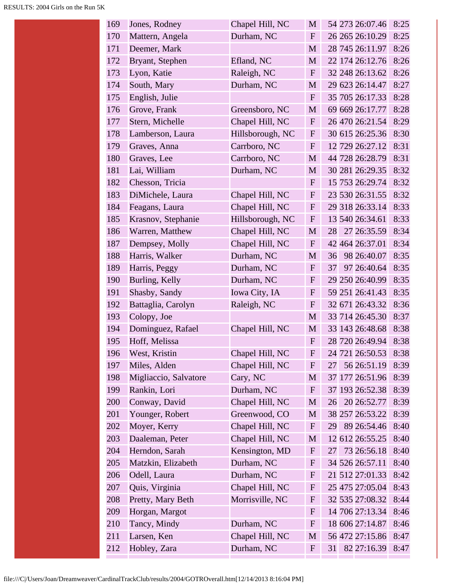| 169 | Jones, Rodney         | Chapel Hill, NC  | M            |    | 54 273 26:07.46 | 8:25 |
|-----|-----------------------|------------------|--------------|----|-----------------|------|
| 170 | Mattern, Angela       | Durham, NC       | $\mathbf{F}$ |    | 26 265 26:10.29 | 8:25 |
| 171 | Deemer, Mark          |                  | M            |    | 28 745 26:11.97 | 8:26 |
| 172 | Bryant, Stephen       | Efland, NC       | M            |    | 22 174 26:12.76 | 8:26 |
| 173 | Lyon, Katie           | Raleigh, NC      | $\mathbf{F}$ |    | 32 248 26:13.62 | 8:26 |
| 174 | South, Mary           | Durham, NC       | M            |    | 29 623 26:14.47 | 8:27 |
| 175 | English, Julie        |                  | F            |    | 35 705 26:17.33 | 8:28 |
| 176 | Grove, Frank          | Greensboro, NC   | M            |    | 69 669 26:17.77 | 8:28 |
| 177 | Stern, Michelle       | Chapel Hill, NC  | $\mathbf{F}$ |    | 26 470 26:21.54 | 8:29 |
| 178 | Lamberson, Laura      | Hillsborough, NC | $\mathbf{F}$ |    | 30 615 26:25.36 | 8:30 |
| 179 | Graves, Anna          | Carrboro, NC     | $\mathbf{F}$ |    | 12 729 26:27.12 | 8:31 |
| 180 | Graves, Lee           | Carrboro, NC     | M            |    | 44 728 26:28.79 | 8:31 |
| 181 | Lai, William          | Durham, NC       | M            |    | 30 281 26:29.35 | 8:32 |
| 182 | Chesson, Tricia       |                  | $\mathbf{F}$ |    | 15 753 26:29.74 | 8:32 |
| 183 | DiMichele, Laura      | Chapel Hill, NC  | $\mathbf F$  |    | 23 530 26:31.55 | 8:32 |
| 184 | Feagans, Laura        | Chapel Hill, NC  | $\mathbf F$  |    | 29 318 26:33.14 | 8:33 |
| 185 | Krasnov, Stephanie    | Hillsborough, NC | $\mathbf{F}$ |    | 13 540 26:34.61 | 8:33 |
| 186 | Warren, Matthew       | Chapel Hill, NC  | M            | 28 | 27 26:35.59     | 8:34 |
| 187 | Dempsey, Molly        | Chapel Hill, NC  | $\mathbf F$  |    | 42 464 26:37.01 | 8:34 |
| 188 | Harris, Walker        | Durham, NC       | M            | 36 | 98 26:40.07     | 8:35 |
| 189 | Harris, Peggy         | Durham, NC       | $\mathbf{F}$ | 37 | 97 26:40.64     | 8:35 |
| 190 | Burling, Kelly        | Durham, NC       | $\mathbf{F}$ |    | 29 250 26:40.99 | 8:35 |
| 191 | Shasby, Sandy         | Iowa City, IA    | $\mathbf F$  |    | 59 251 26:41.43 | 8:35 |
| 192 | Battaglia, Carolyn    | Raleigh, NC      | $\mathbf F$  |    | 32 671 26:43.32 | 8:36 |
| 193 | Colopy, Joe           |                  | M            |    | 33 714 26:45.30 | 8:37 |
| 194 | Dominguez, Rafael     | Chapel Hill, NC  | M            |    | 33 143 26:48.68 | 8:38 |
| 195 | Hoff, Melissa         |                  | $\mathbf{F}$ |    | 28 720 26:49.94 | 8:38 |
| 196 | West, Kristin         | Chapel Hill, NC  | $\mathbf{F}$ |    | 24 721 26:50.53 | 8:38 |
| 197 | Miles, Alden          | Chapel Hill, NC  | $\mathbf{F}$ | 27 | 56 26:51.19     | 8:39 |
| 198 | Migliaccio, Salvatore | Cary, NC         | M            |    | 37 177 26:51.96 | 8:39 |
| 199 | Rankin, Lori          | Durham, NC       | $\mathbf F$  |    | 37 193 26:52.38 | 8:39 |
| 200 | Conway, David         | Chapel Hill, NC  | M            | 26 | 20 26:52.77     | 8:39 |
| 201 | Younger, Robert       | Greenwood, CO    | M            |    | 38 257 26:53.22 | 8:39 |
| 202 | Moyer, Kerry          | Chapel Hill, NC  | $\mathbf{F}$ | 29 | 89 26:54.46     | 8:40 |
| 203 | Daaleman, Peter       | Chapel Hill, NC  | M            |    | 12 612 26:55.25 | 8:40 |
| 204 | Herndon, Sarah        | Kensington, MD   | $\mathbf{F}$ | 27 | 73 26:56.18     | 8:40 |
| 205 | Matzkin, Elizabeth    | Durham, NC       | $\mathbf F$  |    | 34 526 26:57.11 | 8:40 |
| 206 | Odell, Laura          | Durham, NC       | $\mathbf F$  |    | 21 512 27:01.33 | 8:42 |
| 207 | Quis, Virginia        | Chapel Hill, NC  | F            |    | 25 475 27:05.04 | 8:43 |
| 208 | Pretty, Mary Beth     | Morrisville, NC  | $\mathbf{F}$ |    | 32 535 27:08.32 | 8:44 |
| 209 | Horgan, Margot        |                  | $\mathbf{F}$ |    | 14 706 27:13.34 | 8:46 |
| 210 | Tancy, Mindy          | Durham, NC       | $\mathbf F$  |    | 18 606 27:14.87 | 8:46 |
| 211 | Larsen, Ken           | Chapel Hill, NC  | M            |    | 56 472 27:15.86 | 8:47 |
| 212 | Hobley, Zara          | Durham, NC       | $\mathbf F$  | 31 | 82 27:16.39     | 8:47 |
|     |                       |                  |              |    |                 |      |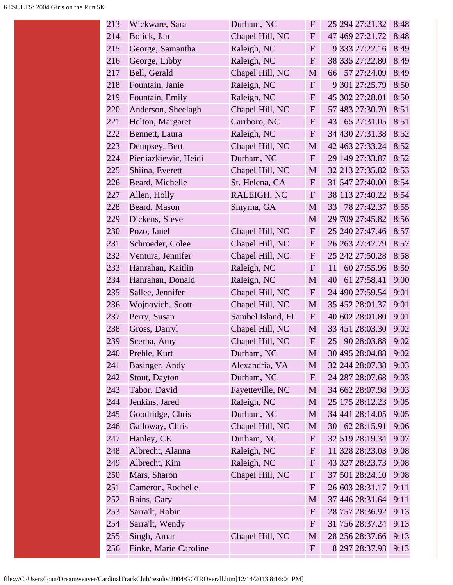| 213 | Wickware, Sara        | Durham, NC         | $\mathbf{F}$     |    | 25 294 27:21.32 | 8:48 |
|-----|-----------------------|--------------------|------------------|----|-----------------|------|
| 214 | Bolick, Jan           | Chapel Hill, NC    | ${\bf F}$        |    | 47 469 27:21.72 | 8:48 |
| 215 | George, Samantha      | Raleigh, NC        | ${\bf F}$        |    | 9 333 27:22.16  | 8:49 |
| 216 | George, Libby         | Raleigh, NC        | $\mathbf{F}$     |    | 38 335 27:22.80 | 8:49 |
| 217 | Bell, Gerald          | Chapel Hill, NC    | M                | 66 | 57 27:24.09     | 8:49 |
| 218 | Fountain, Janie       | Raleigh, NC        | $\mathbf{F}$     |    | 9 301 27:25.79  | 8:50 |
| 219 | Fountain, Emily       | Raleigh, NC        | $\mathbf{F}$     |    | 45 302 27:28.01 | 8:50 |
| 220 | Anderson, Sheelagh    | Chapel Hill, NC    | ${\bf F}$        |    | 57 483 27:30.70 | 8:51 |
| 221 | Helton, Margaret      | Carrboro, NC       | $\boldsymbol{F}$ | 43 | 65 27:31.05     | 8:51 |
| 222 | Bennett, Laura        | Raleigh, NC        | ${\bf F}$        |    | 34 430 27:31.38 | 8:52 |
| 223 | Dempsey, Bert         | Chapel Hill, NC    | M                |    | 42 463 27:33.24 | 8:52 |
| 224 | Pieniazkiewic, Heidi  | Durham, NC         | $\mathbf{F}$     |    | 29 149 27:33.87 | 8:52 |
| 225 | Shiina, Everett       | Chapel Hill, NC    | M                |    | 32 213 27:35.82 | 8:53 |
| 226 | Beard, Michelle       | St. Helena, CA     | $\mathbf{F}$     |    | 31 547 27:40.00 | 8:54 |
| 227 | Allen, Holly          | RALEIGH, NC        | $\mathbf{F}$     |    | 38 113 27:40.22 | 8:54 |
| 228 | Beard, Mason          | Smyrna, GA         | M                | 33 | 78 27:42.37     | 8:55 |
| 229 | Dickens, Steve        |                    | M                |    | 29 709 27:45.82 | 8:56 |
| 230 | Pozo, Janel           | Chapel Hill, NC    | $\mathbf{F}$     |    | 25 240 27:47.46 | 8:57 |
| 231 | Schroeder, Colee      | Chapel Hill, NC    | $\mathbf{F}$     |    | 26 263 27:47.79 | 8:57 |
| 232 | Ventura, Jennifer     | Chapel Hill, NC    | $\mathbf{F}$     |    | 25 242 27:50.28 | 8:58 |
| 233 | Hanrahan, Kaitlin     | Raleigh, NC        | ${\bf F}$        | 11 | 60 27:55.96     | 8:59 |
| 234 | Hanrahan, Donald      | Raleigh, NC        | M                | 40 | 61 27:58.41     | 9:00 |
| 235 | Sallee, Jennifer      | Chapel Hill, NC    | ${\bf F}$        |    | 24 490 27:59.54 | 9:01 |
| 236 | Wojnovich, Scott      | Chapel Hill, NC    | M                |    | 35 452 28:01.37 | 9:01 |
| 237 | Perry, Susan          | Sanibel Island, FL | $\mathbf{F}$     |    | 40 602 28:01.80 | 9:01 |
| 238 | Gross, Darryl         | Chapel Hill, NC    | M                |    | 33 451 28:03.30 | 9:02 |
| 239 | Scerba, Amy           | Chapel Hill, NC    | $\mathbf{F}$     | 25 | 90 28:03.88     | 9:02 |
| 240 | Preble, Kurt          | Durham, NC         | $\mathbf{M}$     |    | 30 495 28:04.88 | 9:02 |
| 241 | Basinger, Andy        | Alexandria, VA     | M                |    | 32 244 28:07.38 | 9:03 |
| 242 | Stout, Dayton         | Durham, NC         | $\mathbf{F}$     |    | 24 287 28:07.68 | 9:03 |
| 243 | Tabor, David          | Fayetteville, NC   | M                |    | 34 662 28:07.98 | 9:03 |
| 244 | Jenkins, Jared        | Raleigh, NC        | M                |    | 25 175 28:12.23 | 9:05 |
| 245 | Goodridge, Chris      | Durham, NC         | M                |    | 34 441 28:14.05 | 9:05 |
| 246 | Galloway, Chris       | Chapel Hill, NC    | M                | 30 | 62 28:15.91     | 9:06 |
| 247 | Hanley, CE            | Durham, NC         | F                |    | 32 519 28:19.34 | 9:07 |
| 248 | Albrecht, Alanna      | Raleigh, NC        | $\mathbf F$      |    | 11 328 28:23.03 | 9:08 |
| 249 | Albrecht, Kim         | Raleigh, NC        | $\mathbf{F}$     |    | 43 327 28:23.73 | 9:08 |
| 250 | Mars, Sharon          | Chapel Hill, NC    | $\boldsymbol{F}$ |    | 37 501 28:24.10 | 9:08 |
| 251 | Cameron, Rochelle     |                    | $\mathbf{F}$     |    | 26 603 28:31.17 | 9:11 |
| 252 | Rains, Gary           |                    | M                |    | 37 446 28:31.64 | 9:11 |
| 253 | Sarra'lt, Robin       |                    | F                |    | 28 757 28:36.92 | 9:13 |
| 254 | Sarra'lt, Wendy       |                    | ${\bf F}$        |    | 31 756 28:37.24 | 9:13 |
| 255 | Singh, Amar           | Chapel Hill, NC    | M                |    | 28 256 28:37.66 | 9:13 |
| 256 | Finke, Marie Caroline |                    | $\mathbf F$      |    | 8 297 28:37.93  | 9:13 |
|     |                       |                    |                  |    |                 |      |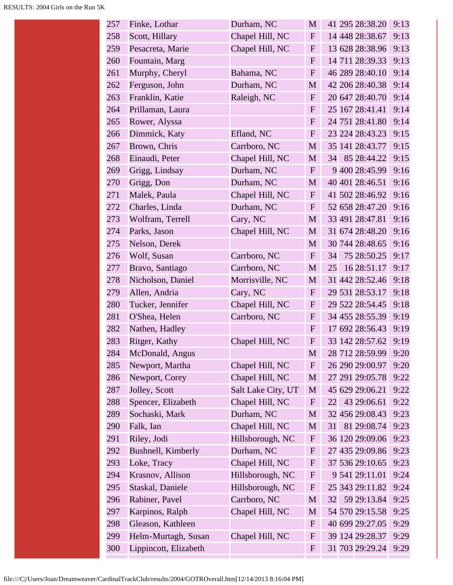| 257 | Finke, Lothar         | Durham, NC         | M                |    | 41 295 28:38.20 | 9:13 |
|-----|-----------------------|--------------------|------------------|----|-----------------|------|
| 258 | Scott, Hillary        | Chapel Hill, NC    | $\mathbf{F}$     |    | 14 448 28:38.67 | 9:13 |
| 259 | Pesacreta, Marie      | Chapel Hill, NC    | $\mathbf{F}$     |    | 13 628 28:38.96 | 9:13 |
| 260 | Fountain, Marg        |                    | $\mathbf{F}$     |    | 14 711 28:39.33 | 9:13 |
| 261 | Murphy, Cheryl        | Bahama, NC         | $\mathbf{F}$     |    | 46 289 28:40.10 | 9:14 |
| 262 | Ferguson, John        | Durham, NC         | M                |    | 42 206 28:40.38 | 9:14 |
| 263 | Franklin, Katie       | Raleigh, NC        | $\mathbf{F}$     |    | 20 647 28:40.70 | 9:14 |
| 264 | Prillaman, Laura      |                    | $\mathbf F$      |    | 25 167 28:41.41 | 9:14 |
| 265 | Rower, Alyssa         |                    | $\boldsymbol{F}$ |    | 24 751 28:41.80 | 9:14 |
| 266 | Dimmick, Katy         | Efland, NC         | ${\bf F}$        |    | 23 224 28:43.23 | 9:15 |
| 267 | Brown, Chris          | Carrboro, NC       | $\mathbf{M}$     |    | 35 141 28:43.77 | 9:15 |
| 268 | Einaudi, Peter        | Chapel Hill, NC    | M                | 34 | 85 28:44.22     | 9:15 |
| 269 | Grigg, Lindsay        | Durham, NC         | $\mathbf F$      |    | 9 400 28:45.99  | 9:16 |
| 270 | Grigg, Don            | Durham, NC         | M                |    | 40 401 28:46.51 | 9:16 |
| 271 | Malek, Paula          | Chapel Hill, NC    | $\mathbf F$      |    | 41 502 28:46.92 | 9:16 |
| 272 | Charles, Linda        | Durham, NC         | $\boldsymbol{F}$ |    | 52 658 28:47.20 | 9:16 |
| 273 | Wolfram, Terrell      | Cary, NC           | M                |    | 33 491 28:47.81 | 9:16 |
| 274 | Parks, Jason          | Chapel Hill, NC    | M                |    | 31 674 28:48.20 | 9:16 |
| 275 | Nelson, Derek         |                    | $\mathbf{M}$     |    | 30 744 28:48.65 | 9:16 |
| 276 | Wolf, Susan           | Carrboro, NC       | $\mathbf F$      | 34 | 75 28:50.25     | 9:17 |
| 277 | Bravo, Santiago       | Carrboro, NC       | $\mathbf{M}$     | 25 | 16 28:51.17     | 9:17 |
| 278 | Nicholson, Daniel     | Morrisville, NC    | $\mathbf{M}$     |    | 31 442 28:52.46 | 9:18 |
| 279 | Allen, Andria         | Cary, NC           | $\mathbf F$      |    | 29 531 28:53.17 | 9:18 |
| 280 | Tucker, Jennifer      | Chapel Hill, NC    | $\boldsymbol{F}$ |    | 29 522 28:54.45 | 9:18 |
| 281 | O'Shea, Helen         | Carrboro, NC       | $\boldsymbol{F}$ |    | 34 455 28:55.39 | 9:19 |
| 282 | Nathen, Hadley        |                    | $\boldsymbol{F}$ |    | 17 692 28:56.43 | 9:19 |
| 283 | Ritger, Kathy         | Chapel Hill, NC    | $\mathbf F$      |    | 33 142 28:57.62 | 9:19 |
| 284 | McDonald, Angus       |                    | M                |    | 28 712 28:59.99 | 9:20 |
| 285 | Newport, Martha       | Chapel Hill, NC    | $\boldsymbol{F}$ |    | 26 290 29:00.97 | 9:20 |
| 286 | Newport, Corey        | Chapel Hill, NC    | M                |    | 27 291 29:05.78 | 9:22 |
| 287 | Jolley, Scott         | Salt Lake City, UT | M                |    | 45 629 29:06.21 | 9:22 |
| 288 | Spencer, Elizabeth    | Chapel Hill, NC    | $\mathbf{F}$     | 22 | 43 29:06.61     | 9:22 |
| 289 | Sochaski, Mark        | Durham, NC         | M                |    | 32 456 29:08.43 | 9:23 |
| 290 | Falk, Ian             | Chapel Hill, NC    | $\mathbf M$      | 31 | 81 29:08.74     | 9:23 |
| 291 | Riley, Jodi           | Hillsborough, NC   | $\mathbf{F}$     |    | 36 120 29:09.06 | 9:23 |
| 292 | Bushnell, Kimberly    | Durham, NC         | F                |    | 27 435 29:09.86 | 9:23 |
| 293 | Loke, Tracy           | Chapel Hill, NC    | $\mathbf{F}$     |    | 37 536 29:10.65 | 9:23 |
| 294 | Krasnov, Allison      | Hillsborough, NC   | $\boldsymbol{F}$ |    | 9 541 29:11.01  | 9:24 |
| 295 | Staskal, Daniele      | Hillsborough, NC   | $\boldsymbol{F}$ |    | 25 343 29:11.82 | 9:24 |
| 296 | Rabiner, Pavel        | Carrboro, NC       | M                | 32 | 59 29:13.84     | 9:25 |
| 297 | Karpinos, Ralph       | Chapel Hill, NC    | M                |    | 54 570 29:15.58 | 9:25 |
| 298 | Gleason, Kathleen     |                    | $\boldsymbol{F}$ |    | 40 699 29:27.05 | 9:29 |
| 299 | Helm-Murtagh, Susan   | Chapel Hill, NC    | $\mathbf{F}$     |    | 39 124 29:28.37 | 9:29 |
| 300 | Lippincott, Elizabeth |                    | $\boldsymbol{F}$ |    | 31 703 29:29.24 | 9:29 |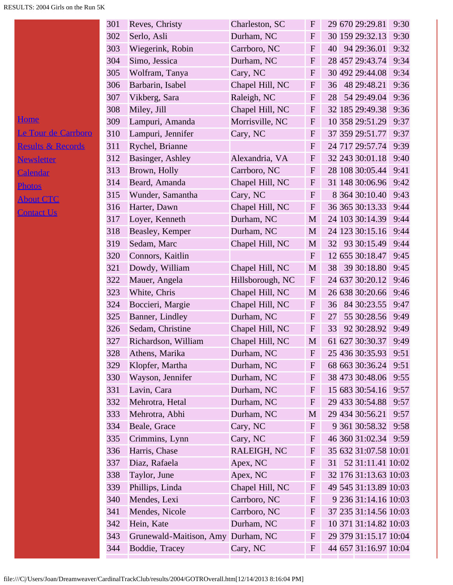|                              | 301 | Reves, Christy          | Charleston, SC   | $\mathbf F$  | 29 670 29:29.81         | 9:30 |
|------------------------------|-----|-------------------------|------------------|--------------|-------------------------|------|
|                              | 302 | Serlo, Asli             | Durham, NC       | $\mathbf F$  | 30 159 29:32.13         | 9:30 |
|                              | 303 | Wiegerink, Robin        | Carrboro, NC     | $\mathbf{F}$ | 40 94 29:36.01          | 9:32 |
|                              | 304 | Simo, Jessica           | Durham, NC       | $\mathbf{F}$ | 28 457 29:43.74         | 9:34 |
|                              | 305 | Wolfram, Tanya          | Cary, NC         | $\mathbf{F}$ | 30 492 29:44.08         | 9:34 |
|                              | 306 | Barbarin, Isabel        | Chapel Hill, NC  | $\mathbf{F}$ | 48 29:48.21<br>36       | 9:36 |
|                              | 307 | Vikberg, Sara           | Raleigh, NC      | ${\bf F}$    | 54 29:49.04<br>28       | 9:36 |
|                              | 308 | Miley, Jill             | Chapel Hill, NC  | ${\bf F}$    | 32 185 29:49.38         | 9:36 |
| <b>Home</b>                  | 309 | Lampuri, Amanda         | Morrisville, NC  | F            | 10 358 29:51.29         | 9:37 |
| <u>Le Tour de Carrboro</u>   | 310 | Lampuri, Jennifer       | Cary, NC         | $\mathbf{F}$ | 37 359 29:51.77         | 9:37 |
| <b>Results &amp; Records</b> | 311 | Rychel, Brianne         |                  | $\mathbf{F}$ | 24 717 29:57.74         | 9:39 |
| <b>Newsletter</b>            | 312 | Basinger, Ashley        | Alexandria, VA   | $\mathbf{F}$ | 32 243 30:01.18         | 9:40 |
| Calendar                     | 313 | Brown, Holly            | Carrboro, NC     | F            | 28 108 30:05.44         | 9:41 |
| <b>Photos</b>                | 314 | Beard, Amanda           | Chapel Hill, NC  | $\mathbf{F}$ | 31 148 30:06.96         | 9:42 |
| <b>About CTC</b>             | 315 | Wunder, Samantha        | Cary, NC         | ${\bf F}$    | 8 364 30:10.40          | 9:43 |
|                              | 316 | Harter, Dawn            | Chapel Hill, NC  | ${\bf F}$    | 36 365 30:13.33         | 9:44 |
| <b>Contact Us</b>            | 317 | Loyer, Kenneth          | Durham, NC       | $\mathbf{M}$ | 24 103 30:14.39         | 9:44 |
|                              | 318 | Beasley, Kemper         | Durham, NC       | M            | 24 123 30:15.16         | 9:44 |
|                              | 319 | Sedam, Marc             | Chapel Hill, NC  | M            | 93 30:15.49<br>32       | 9:44 |
|                              | 320 | Connors, Kaitlin        |                  | $\mathbf{F}$ | 12 655 30:18.47         | 9:45 |
|                              | 321 | Dowdy, William          | Chapel Hill, NC  | $\mathbf M$  | 39 30:18.80<br>38       | 9:45 |
|                              | 322 | Mauer, Angela           | Hillsborough, NC | $\mathbf{F}$ | 24 637 30:20.12         | 9:46 |
|                              | 323 | White, Chris            | Chapel Hill, NC  | M            | 26 638 30:20.66         | 9:46 |
|                              | 324 | Boccieri, Margie        | Chapel Hill, NC  | $\mathbf{F}$ | 84 30:23.55<br>36       | 9:47 |
|                              | 325 | Banner, Lindley         | Durham, NC       | $\mathbf{F}$ | 55 30:28.56<br>27       | 9:49 |
|                              | 326 | Sedam, Christine        | Chapel Hill, NC  | $\mathbf{F}$ | 92 30:28.92<br>33       | 9:49 |
|                              | 327 | Richardson, William     | Chapel Hill, NC  | $\mathbf M$  | 61 627 30:30.37         | 9:49 |
|                              | 328 | Athens, Marika          | Durham, NC       | ${\bf F}$    | 25 436 30:35.93 9:51    |      |
|                              | 329 | Klopfer, Martha         | Durham, NC       | $\mathbf{F}$ | 68 663 30:36.24         | 9:51 |
|                              | 330 | Wayson, Jennifer        | Durham, NC       | $\mathbf F$  | 38 473 30:48.06         | 9:55 |
|                              | 331 | Lavin, Cara             | Durham, NC       | $\mathbf{F}$ | 15 683 30:54.16         | 9:57 |
|                              | 332 | Mehrotra, Hetal         | Durham, NC       | $\mathbf{F}$ | 29 433 30:54.88         | 9:57 |
|                              | 333 | Mehrotra, Abhi          | Durham, NC       | M            | 29 434 30:56.21         | 9:57 |
|                              | 334 | Beale, Grace            | Cary, NC         | $\mathbf{F}$ | 9 361 30:58.32          | 9:58 |
|                              | 335 | Crimmins, Lynn          | Cary, NC         | $\mathbf{F}$ | 46 360 31:02.34 9:59    |      |
|                              | 336 | Harris, Chase           | RALEIGH, NC      | ${\bf F}$    | 35 632 31:07.58 10:01   |      |
|                              | 337 | Diaz, Rafaela           | Apex, NC         | $\mathbf{F}$ | 52 31:11.41 10:02<br>31 |      |
|                              | 338 | Taylor, June            | Apex, NC         | $\mathbf{F}$ | 32 176 31:13.63 10:03   |      |
|                              | 339 | Phillips, Linda         | Chapel Hill, NC  | ${\bf F}$    | 49 545 31:13.89 10:03   |      |
|                              | 340 | Mendes, Lexi            | Carrboro, NC     | ${\bf F}$    | 9 236 31:14.16 10:03    |      |
|                              | 341 | Mendes, Nicole          | Carrboro, NC     | $\mathbf{F}$ | 37 235 31:14.56 10:03   |      |
|                              | 342 | Hein, Kate              | Durham, NC       | $\mathbf{F}$ | 10 371 31:14.82 10:03   |      |
|                              | 343 | Grunewald-Maitison, Amy | Durham, NC       | ${\bf F}$    | 29 379 31:15.17 10:04   |      |
|                              | 344 | Boddie, Tracey          | Cary, NC         | $\mathbf{F}$ | 44 657 31:16.97 10:04   |      |
|                              |     |                         |                  |              |                         |      |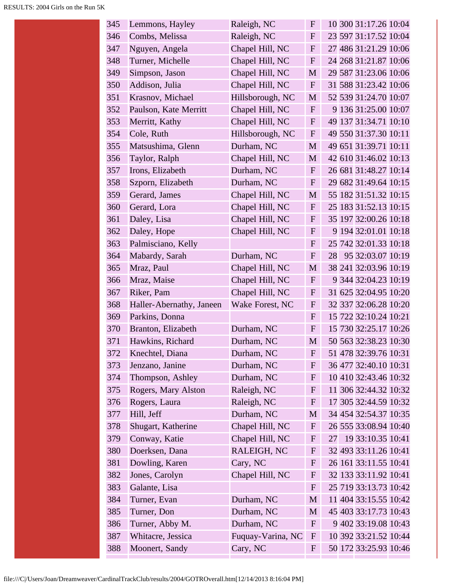| 345 | Lemmons, Hayley          | Raleigh, NC       | $\mathbf F$  | 10 300 31:17.26 10:04   |
|-----|--------------------------|-------------------|--------------|-------------------------|
| 346 | Combs, Melissa           | Raleigh, NC       | $\mathbf{F}$ | 23 597 31:17.52 10:04   |
| 347 | Nguyen, Angela           | Chapel Hill, NC   | $\mathbf{F}$ | 27 486 31:21.29 10:06   |
| 348 | Turner, Michelle         | Chapel Hill, NC   | $\mathbf F$  | 24 268 31:21.87 10:06   |
| 349 | Simpson, Jason           | Chapel Hill, NC   | M            | 29 587 31:23.06 10:06   |
| 350 | Addison, Julia           | Chapel Hill, NC   | $\mathbf{F}$ | 31 588 31:23.42 10:06   |
| 351 | Krasnov, Michael         | Hillsborough, NC  | M            | 52 539 31:24.70 10:07   |
| 352 | Paulson, Kate Merritt    | Chapel Hill, NC   | $\mathbf{F}$ | 9 136 31:25.00 10:07    |
| 353 | Merritt, Kathy           | Chapel Hill, NC   | $\mathbf{F}$ | 49 137 31:34.71 10:10   |
| 354 | Cole, Ruth               | Hillsborough, NC  | $\mathbf{F}$ | 49 550 31:37.30 10:11   |
| 355 | Matsushima, Glenn        | Durham, NC        | M            | 49 651 31:39.71 10:11   |
| 356 | Taylor, Ralph            | Chapel Hill, NC   | M            | 42 610 31:46.02 10:13   |
| 357 | Irons, Elizabeth         | Durham, NC        | $\mathbf{F}$ | 26 681 31:48.27 10:14   |
| 358 | Szporn, Elizabeth        | Durham, NC        | $\mathbf{F}$ | 29 682 31:49.64 10:15   |
| 359 | Gerard, James            | Chapel Hill, NC   | M            | 55 182 31:51.32 10:15   |
| 360 | Gerard, Lora             | Chapel Hill, NC   | $\mathbf{F}$ | 25 183 31:52.13 10:15   |
| 361 | Daley, Lisa              | Chapel Hill, NC   | $\mathbf{F}$ | 35 197 32:00.26 10:18   |
| 362 | Daley, Hope              | Chapel Hill, NC   | $\mathbf{F}$ | 9 194 32:01.01 10:18    |
| 363 | Palmisciano, Kelly       |                   | $\mathbf{F}$ | 25 742 32:01.33 10:18   |
| 364 | Mabardy, Sarah           | Durham, NC        | $\mathbf{F}$ | 95 32:03.07 10:19<br>28 |
| 365 | Mraz, Paul               | Chapel Hill, NC   | M            | 38 241 32:03.96 10:19   |
| 366 | Mraz, Maise              | Chapel Hill, NC   | $\mathbf{F}$ | 9 344 32:04.23 10:19    |
| 367 | Riker, Pam               | Chapel Hill, NC   | $\mathbf{F}$ | 31 625 32:04.95 10:20   |
| 368 | Haller-Abernathy, Janeen | Wake Forest, NC   | $\mathbf{F}$ | 32 337 32:06.28 10:20   |
| 369 | Parkins, Donna           |                   | $\mathbf{F}$ | 15 722 32:10.24 10:21   |
| 370 | Branton, Elizabeth       | Durham, NC        | $\mathbf{F}$ | 15 730 32:25.17 10:26   |
| 371 | Hawkins, Richard         | Durham, NC        | M            | 50 563 32:38.23 10:30   |
| 372 | Knechtel, Diana          | Durham, NC        | ${\bf F}$    | 51 478 32:39.76 10:31   |
| 373 | Jenzano, Janine          | Durham, NC        | F            | 36 477 32:40.10 10:31   |
| 374 | Thompson, Ashley         | Durham, NC        | $\mathbf{F}$ | 10 410 32:43.46 10:32   |
| 375 | Rogers, Mary Alston      | Raleigh, NC       | $\mathbf{F}$ | 11 306 32:44.32 10:32   |
| 376 | Rogers, Laura            | Raleigh, NC       | $\mathbf{F}$ | 17 305 32:44.59 10:32   |
| 377 | Hill, Jeff               | Durham, NC        | M            | 34 454 32:54.37 10:35   |
| 378 | Shugart, Katherine       | Chapel Hill, NC   | $\mathbf F$  | 26 555 33:08.94 10:40   |
| 379 | Conway, Katie            | Chapel Hill, NC   | $\mathbf{F}$ | 19 33:10.35 10:41<br>27 |
| 380 | Doerksen, Dana           | RALEIGH, NC       | $\mathbf F$  | 32 493 33:11.26 10:41   |
| 381 | Dowling, Karen           | Cary, NC          | $\mathbf F$  | 26 161 33:11.55 10:41   |
| 382 | Jones, Carolyn           | Chapel Hill, NC   | $\mathbf{F}$ | 32 133 33:11.92 10:41   |
| 383 | Galante, Lisa            |                   | $\mathbf F$  | 25 719 33:13.73 10:42   |
| 384 | Turner, Evan             | Durham, NC        | M            | 11 404 33:15.55 10:42   |
| 385 | Turner, Don              | Durham, NC        | M            | 45 403 33:17.73 10:43   |
| 386 | Turner, Abby M.          | Durham, NC        | $\mathbf{F}$ | 9 402 33:19.08 10:43    |
| 387 | Whitacre, Jessica        | Fuquay-Varina, NC | $\mathbf{F}$ | 10 392 33:21.52 10:44   |
| 388 | Moonert, Sandy           | Cary, NC          | $\mathbf{F}$ | 50 172 33:25.93 10:46   |
|     |                          |                   |              |                         |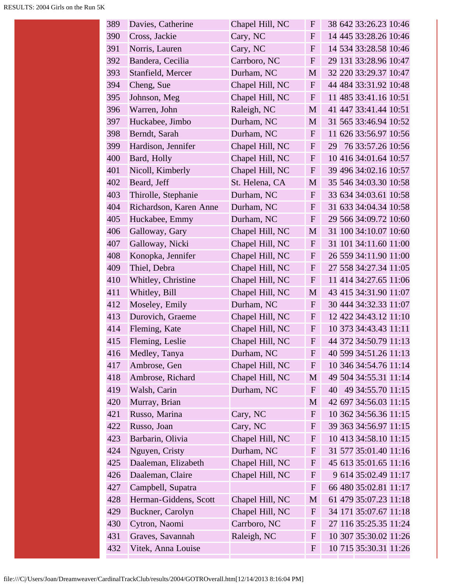| 389 | Davies, Catherine      | Chapel Hill, NC | $\mathbf F$  | 38 642 33:26.23 10:46   |
|-----|------------------------|-----------------|--------------|-------------------------|
| 390 | Cross, Jackie          | Cary, NC        | F            | 14 445 33:28.26 10:46   |
| 391 | Norris, Lauren         | Cary, NC        | $\mathbf F$  | 14 534 33:28.58 10:46   |
| 392 | Bandera, Cecilia       | Carrboro, NC    | $\mathbf F$  | 29 131 33:28.96 10:47   |
| 393 | Stanfield, Mercer      | Durham, NC      | M            | 32 220 33:29.37 10:47   |
| 394 | Cheng, Sue             | Chapel Hill, NC | $F_{\rm}$    | 44 484 33:31.92 10:48   |
| 395 | Johnson, Meg           | Chapel Hill, NC | F            | 11 485 33:41.16 10:51   |
| 396 | Warren, John           | Raleigh, NC     | M            | 41 447 33:41.44 10:51   |
| 397 | Huckabee, Jimbo        | Durham, NC      | M            | 31 565 33:46.94 10:52   |
| 398 | Berndt, Sarah          | Durham, NC      | $\mathbf{F}$ | 11 626 33:56.97 10:56   |
| 399 | Hardison, Jennifer     | Chapel Hill, NC | F            | 76 33:57.26 10:56<br>29 |
| 400 | Bard, Holly            | Chapel Hill, NC | $\mathbf F$  | 10 416 34:01.64 10:57   |
| 401 | Nicoll, Kimberly       | Chapel Hill, NC | $\mathbf{F}$ | 39 496 34:02.16 10:57   |
| 402 | Beard, Jeff            | St. Helena, CA  | M            | 35 546 34:03.30 10:58   |
| 403 | Thirolle, Stephanie    | Durham, NC      | $\mathbf{F}$ | 33 634 34:03.61 10:58   |
| 404 | Richardson, Karen Anne | Durham, NC      | F            | 31 633 34:04.34 10:58   |
| 405 | Huckabee, Emmy         | Durham, NC      | $\mathbf F$  | 29 566 34:09.72 10:60   |
| 406 | Galloway, Gary         | Chapel Hill, NC | M            | 31 100 34:10.07 10:60   |
| 407 | Galloway, Nicki        | Chapel Hill, NC | $\mathbf{F}$ | 31 101 34:11.60 11:00   |
| 408 | Konopka, Jennifer      | Chapel Hill, NC | F            | 26 559 34:11.90 11:00   |
| 409 | Thiel, Debra           | Chapel Hill, NC | $\mathbf F$  | 27 558 34:27.34 11:05   |
| 410 | Whitley, Christine     | Chapel Hill, NC | $\mathbf{F}$ | 11 414 34:27.65 11:06   |
| 411 | Whitley, Bill          | Chapel Hill, NC | M            | 43 415 34:31.90 11:07   |
| 412 | Moseley, Emily         | Durham, NC      | F            | 30 444 34:32.33 11:07   |
| 413 | Durovich, Graeme       | Chapel Hill, NC | $\mathbf{F}$ | 12 422 34:43.12 11:10   |
| 414 | Fleming, Kate          | Chapel Hill, NC | $\mathbf{F}$ | 10 373 34:43.43 11:11   |
| 415 | Fleming, Leslie        | Chapel Hill, NC | F            | 44 372 34:50.79 11:13   |
| 416 | Medley, Tanya          | Durham, NC      | F            | 40 599 34:51.26 11:13   |
| 417 | Ambrose, Gen           | Chapel Hill, NC | ${\bf F}$    | 10 346 34:54.76 11:14   |
| 418 | Ambrose, Richard       | Chapel Hill, NC | M            | 49 504 34:55.31 11:14   |
| 419 | Walsh, Carin           | Durham, NC      | $\mathbf F$  | 49 34:55.70 11:15<br>40 |
| 420 | Murray, Brian          |                 | M            | 42 697 34:56.03 11:15   |
| 421 | Russo, Marina          | Cary, NC        | $\mathbf{F}$ | 10 362 34:56.36 11:15   |
| 422 | Russo, Joan            | Cary, NC        | $\mathbf{F}$ | 39 363 34:56.97 11:15   |
| 423 | Barbarin, Olivia       | Chapel Hill, NC | $\mathbf{F}$ | 10 413 34:58.10 11:15   |
| 424 | Nguyen, Cristy         | Durham, NC      | F            | 31 577 35:01.40 11:16   |
| 425 | Daaleman, Elizabeth    | Chapel Hill, NC | $\mathbf F$  | 45 613 35:01.65 11:16   |
| 426 | Daaleman, Claire       | Chapel Hill, NC | $\mathbf F$  | 9 614 35:02.49 11:17    |
| 427 | Campbell, Supatra      |                 | $\mathbf{F}$ | 66 480 35:02.81 11:17   |
| 428 | Herman-Giddens, Scott  | Chapel Hill, NC | M            | 61 479 35:07.23 11:18   |
| 429 | Buckner, Carolyn       | Chapel Hill, NC | $\mathbf{F}$ | 34 171 35:07.67 11:18   |
| 430 | Cytron, Naomi          | Carrboro, NC    | F            | 27 116 35:25.35 11:24   |
| 431 | Graves, Savannah       | Raleigh, NC     | F            | 10 307 35:30.02 11:26   |
| 432 | Vitek, Anna Louise     |                 | F            | 10 715 35:30.31 11:26   |
|     |                        |                 |              |                         |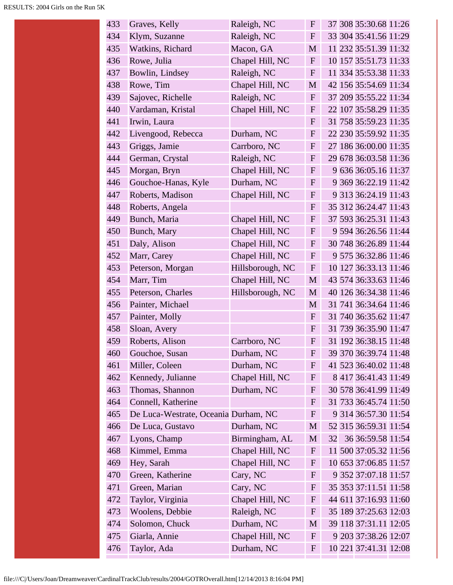| 433 | Graves, Kelly                        | Raleigh, NC      | $\mathbf F$  | 37 308 35:30.68 11:26   |
|-----|--------------------------------------|------------------|--------------|-------------------------|
| 434 | Klym, Suzanne                        | Raleigh, NC      | $F_{\rm}$    | 33 304 35:41.56 11:29   |
| 435 | Watkins, Richard                     | Macon, GA        | M            | 11 232 35:51.39 11:32   |
| 436 | Rowe, Julia                          | Chapel Hill, NC  | F            | 10 157 35:51.73 11:33   |
| 437 | Bowlin, Lindsey                      | Raleigh, NC      | $\mathbf{F}$ | 11 334 35:53.38 11:33   |
| 438 | Rowe, Tim                            | Chapel Hill, NC  | M            | 42 156 35:54.69 11:34   |
| 439 | Sajovec, Richelle                    | Raleigh, NC      | F            | 37 209 35:55.22 11:34   |
| 440 | Vardaman, Kristal                    | Chapel Hill, NC  | $\mathbf F$  | 22 107 35:58.29 11:35   |
| 441 | Irwin, Laura                         |                  | $\mathbf{F}$ | 31 758 35:59.23 11:35   |
| 442 | Livengood, Rebecca                   | Durham, NC       | $\mathbf{F}$ | 22 230 35:59.92 11:35   |
| 443 | Griggs, Jamie                        | Carrboro, NC     | F            | 27 186 36:00.00 11:35   |
| 444 | German, Crystal                      | Raleigh, NC      | $\mathbf F$  | 29 678 36:03.58 11:36   |
| 445 | Morgan, Bryn                         | Chapel Hill, NC  | F            | 9 636 36:05.16 11:37    |
| 446 | Gouchoe-Hanas, Kyle                  | Durham, NC       | $\mathbf F$  | 9 369 36:22.19 11:42    |
| 447 | Roberts, Madison                     | Chapel Hill, NC  | ${\bf F}$    | 9 313 36:24.19 11:43    |
| 448 | Roberts, Angela                      |                  | ${\bf F}$    | 35 312 36:24.47 11:43   |
| 449 | Bunch, Maria                         | Chapel Hill, NC  | F            | 37 593 36:25.31 11:43   |
| 450 | Bunch, Mary                          | Chapel Hill, NC  | $F_{\rm}$    | 9 594 36:26.56 11:44    |
| 451 | Daly, Alison                         | Chapel Hill, NC  | $\mathbf F$  | 30 748 36:26.89 11:44   |
| 452 | Marr, Carey                          | Chapel Hill, NC  | $\mathbf F$  | 9 575 36:32.86 11:46    |
| 453 | Peterson, Morgan                     | Hillsborough, NC | $\mathbf{F}$ | 10 127 36:33.13 11:46   |
| 454 | Marr, Tim                            | Chapel Hill, NC  | $\mathbf M$  | 43 574 36:33.63 11:46   |
| 455 | Peterson, Charles                    | Hillsborough, NC | M            | 40 126 36:34.38 11:46   |
| 456 | Painter, Michael                     |                  | M            | 31 741 36:34.64 11:46   |
| 457 | Painter, Molly                       |                  | $\mathbf{F}$ | 31 740 36:35.62 11:47   |
| 458 | Sloan, Avery                         |                  | F            | 31 739 36:35.90 11:47   |
| 459 | Roberts, Alison                      | Carrboro, NC     | $\mathbf{F}$ | 31 192 36:38.15 11:48   |
| 460 | Gouchoe, Susan                       | Durham, NC       | $\mathbf F$  | 39 370 36:39.74 11:48   |
| 461 | Miller, Coleen                       | Durham, NC       | $\mathbf F$  | 41 523 36:40.02 11:48   |
| 462 | Kennedy, Julianne                    | Chapel Hill, NC  | $\mathbf F$  | 8 417 36:41.43 11:49    |
| 463 | Thomas, Shannon                      | Durham, NC       | $\mathbf{F}$ | 30 578 36:41.99 11:49   |
| 464 | Connell, Katherine                   |                  | $\mathbf{F}$ | 31 733 36:45.74 11:50   |
| 465 | De Luca-Westrate, Oceania Durham, NC |                  | $\mathbf{F}$ | 9 314 36:57.30 11:54    |
| 466 | De Luca, Gustavo                     | Durham, NC       | M            | 52 315 36:59.31 11:54   |
| 467 | Lyons, Champ                         | Birmingham, AL   | M            | 36 36:59.58 11:54<br>32 |
| 468 | Kimmel, Emma                         | Chapel Hill, NC  | $\mathbf F$  | 11 500 37:05.32 11:56   |
| 469 | Hey, Sarah                           | Chapel Hill, NC  | $\mathbf{F}$ | 10 653 37:06.85 11:57   |
| 470 | Green, Katherine                     | Cary, NC         | $\mathbf{F}$ | 9 352 37:07.18 11:57    |
| 471 | Green, Marian                        | Cary, NC         | $\mathbf F$  | 35 353 37:11.51 11:58   |
| 472 | Taylor, Virginia                     | Chapel Hill, NC  | $\mathbf F$  | 44 611 37:16.93 11:60   |
| 473 | Woolens, Debbie                      | Raleigh, NC      | $\mathbf{F}$ | 35 189 37:25.63 12:03   |
| 474 | Solomon, Chuck                       | Durham, NC       | M            | 39 118 37:31.11 12:05   |
| 475 | Giarla, Annie                        | Chapel Hill, NC  | $\mathbf{F}$ | 9 203 37:38.26 12:07    |
| 476 | Taylor, Ada                          | Durham, NC       | $\mathbf{F}$ | 10 221 37:41.31 12:08   |
|     |                                      |                  |              |                         |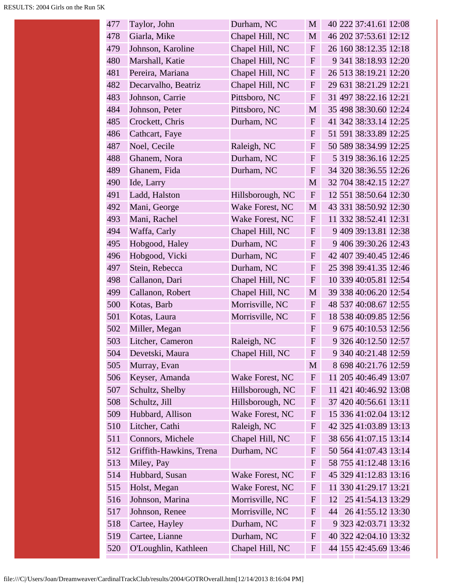| 477 | Taylor, John            | Durham, NC       | M                         | 40 222 37:41.61 12:08   |
|-----|-------------------------|------------------|---------------------------|-------------------------|
| 478 | Giarla, Mike            | Chapel Hill, NC  | $\mathbf{M}$              | 46 202 37:53.61 12:12   |
| 479 | Johnson, Karoline       | Chapel Hill, NC  | $\mathbf{F}$              | 26 160 38:12.35 12:18   |
| 480 | Marshall, Katie         | Chapel Hill, NC  | $\mathbf F$               | 9 341 38:18.93 12:20    |
| 481 | Pereira, Mariana        | Chapel Hill, NC  | $\mathbf{F}$              | 26 513 38:19.21 12:20   |
| 482 | Decarvalho, Beatriz     | Chapel Hill, NC  | $\mathbf{F}$              | 29 631 38:21.29 12:21   |
| 483 | Johnson, Carrie         | Pittsboro, NC    | $\mathbf{F}$              | 31 497 38:22.16 12:21   |
| 484 | Johnson, Peter          | Pittsboro, NC    | M                         | 35 498 38:30.60 12:24   |
| 485 | Crockett, Chris         | Durham, NC       | $\mathbf{F}$              | 41 342 38:33.14 12:25   |
| 486 | Cathcart, Faye          |                  | $\mathbf{F}$              | 51 591 38:33.89 12:25   |
| 487 | Noel, Cecile            | Raleigh, NC      | $\mathbf{F}$              | 50 589 38:34.99 12:25   |
| 488 | Ghanem, Nora            | Durham, NC       | $\mathbf{F}$              | 5 319 38:36.16 12:25    |
| 489 | Ghanem, Fida            | Durham, NC       | $\mathbf{F}$              | 34 320 38:36.55 12:26   |
| 490 | Ide, Larry              |                  | M                         | 32 704 38:42.15 12:27   |
| 491 | Ladd, Halston           | Hillsborough, NC | $\mathbf{F}$              | 12 551 38:50.64 12:30   |
| 492 | Mani, George            | Wake Forest, NC  | $\mathbf M$               | 43 331 38:50.92 12:30   |
| 493 | Mani, Rachel            | Wake Forest, NC  | $\mathbf F$               | 11 332 38:52.41 12:31   |
| 494 | Waffa, Carly            | Chapel Hill, NC  | $\mathbf{F}$              | 9 409 39:13.81 12:38    |
| 495 | Hobgood, Haley          | Durham, NC       | $\mathbf F$               | 9 406 39:30.26 12:43    |
| 496 | Hobgood, Vicki          | Durham, NC       | $\mathbf F$               | 42 407 39:40.45 12:46   |
| 497 | Stein, Rebecca          | Durham, NC       | $\mathbf{F}$              | 25 398 39:41.35 12:46   |
| 498 | Callanon, Dari          | Chapel Hill, NC  | $\mathbf F$               | 10 339 40:05.81 12:54   |
| 499 | Callanon, Robert        | Chapel Hill, NC  | M                         | 39 338 40:06.20 12:54   |
| 500 | Kotas, Barb             | Morrisville, NC  | $\mathbf{F}$              | 48 537 40:08.67 12:55   |
| 501 | Kotas, Laura            | Morrisville, NC  | $\mathbf{F}$              | 18 538 40:09.85 12:56   |
| 502 | Miller, Megan           |                  | $\mathbf{F}$              | 9 675 40:10.53 12:56    |
| 503 | Litcher, Cameron        | Raleigh, NC      | $\mathbf{F}$              | 9 326 40:12.50 12:57    |
| 504 | Devetski, Maura         | Chapel Hill, NC  | F                         | 9 340 40:21.48 12:59    |
| 505 | Murray, Evan            |                  | M                         | 8 698 40:21.76 12:59    |
| 506 | Keyser, Amanda          | Wake Forest, NC  | $\boldsymbol{\mathrm{F}}$ | 11 205 40:46.49 13:07   |
| 507 | Schultz, Shelby         | Hillsborough, NC | $\mathbf F$               | 11 421 40:46.92 13:08   |
| 508 | Schultz, Jill           | Hillsborough, NC | $\mathbf{F}$              | 37 420 40:56.61 13:11   |
| 509 | Hubbard, Allison        | Wake Forest, NC  | F                         | 15 336 41:02.04 13:12   |
| 510 | Litcher, Cathi          | Raleigh, NC      | F                         | 42 325 41:03.89 13:13   |
| 511 | Connors, Michele        | Chapel Hill, NC  | F                         | 38 656 41:07.15 13:14   |
| 512 | Griffith-Hawkins, Trena | Durham, NC       | F                         | 50 564 41:07.43 13:14   |
| 513 | Miley, Pay              |                  | $\mathbf F$               | 58 755 41:12.48 13:16   |
| 514 | Hubbard, Susan          | Wake Forest, NC  | $\mathbf F$               | 45 329 41:12.83 13:16   |
| 515 | Holst, Megan            | Wake Forest, NC  | $\mathbf F$               | 11 330 41:29.17 13:21   |
| 516 | Johnson, Marina         | Morrisville, NC  | $\mathbf F$               | 25 41:54.13 13:29<br>12 |
| 517 | Johnson, Renee          | Morrisville, NC  | $\mathbf F$               | 26 41:55.12 13:30<br>44 |
| 518 | Cartee, Hayley          | Durham, NC       | F                         | 9 323 42:03.71 13:32    |
| 519 | Cartee, Lianne          | Durham, NC       | F                         | 40 322 42:04.10 13:32   |
| 520 | O'Loughlin, Kathleen    | Chapel Hill, NC  | F                         | 44 155 42:45.69 13:46   |
|     |                         |                  |                           |                         |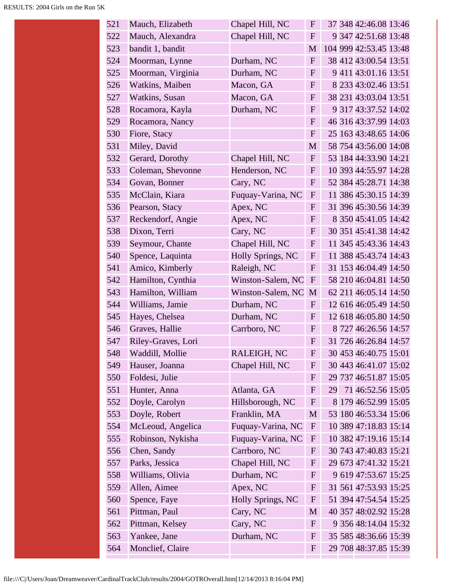| 521 | Mauch, Elizabeth   | Chapel Hill, NC   | $\mathbf{F}$ | 37 348 42:46.08 13:46   |
|-----|--------------------|-------------------|--------------|-------------------------|
| 522 | Mauch, Alexandra   | Chapel Hill, NC   | $\mathbf{F}$ | 9 347 42:51.68 13:48    |
| 523 | bandit 1, bandit   |                   | M            | 104 999 42:53.45 13:48  |
| 524 | Moorman, Lynne     | Durham, NC        | $\mathbf{F}$ | 38 412 43:00.54 13:51   |
| 525 | Moorman, Virginia  | Durham, NC        | $\mathbf{F}$ | 9 411 43:01.16 13:51    |
| 526 | Watkins, Maiben    | Macon, GA         | $\mathbf{F}$ | 8 233 43:02.46 13:51    |
| 527 | Watkins, Susan     | Macon, GA         | $\mathbf{F}$ | 38 231 43:03.04 13:51   |
| 528 | Rocamora, Kayla    | Durham, NC        | $\mathbf{F}$ | 9 317 43:37.52 14:02    |
| 529 | Rocamora, Nancy    |                   | $\mathbf{F}$ | 46 316 43:37.99 14:03   |
| 530 | Fiore, Stacy       |                   | $\mathbf{F}$ | 25 163 43:48.65 14:06   |
| 531 | Miley, David       |                   | M            | 58 754 43:56.00 14:08   |
| 532 | Gerard, Dorothy    | Chapel Hill, NC   | $\mathbf{F}$ | 53 184 44:33.90 14:21   |
| 533 | Coleman, Shevonne  | Henderson, NC     | $\mathbf{F}$ | 10 393 44:55.97 14:28   |
| 534 | Govan, Bonner      | Cary, NC          | $\mathbf{F}$ | 52 384 45:28.71 14:38   |
| 535 | McClain, Kiara     | Fuquay-Varina, NC | $\mathbf{F}$ | 11 386 45:30.15 14:39   |
| 536 | Pearson, Stacy     | Apex, NC          | $\mathbf{F}$ | 31 396 45:30.56 14:39   |
| 537 | Reckendorf, Angie  | Apex, NC          | $\mathbf{F}$ | 8 350 45:41.05 14:42    |
| 538 | Dixon, Terri       | Cary, NC          | $\mathbf{F}$ | 30 351 45:41.38 14:42   |
| 539 | Seymour, Chante    | Chapel Hill, NC   | $\mathbf F$  | 11 345 45:43.36 14:43   |
| 540 | Spence, Laquinta   | Holly Springs, NC | $\mathbf{F}$ | 11 388 45:43.74 14:43   |
| 541 | Amico, Kimberly    | Raleigh, NC       | $\mathbf{F}$ | 31 153 46:04.49 14:50   |
| 542 | Hamilton, Cynthia  | Winston-Salem, NC | $\mathbf{F}$ | 58 210 46:04.81 14:50   |
| 543 | Hamilton, William  | Winston-Salem, NC | M            | 62 211 46:05.14 14:50   |
| 544 | Williams, Jamie    | Durham, NC        | $\mathbf{F}$ | 12 616 46:05.49 14:50   |
| 545 | Hayes, Chelsea     | Durham, NC        | $\mathbf{F}$ | 12 618 46:05.80 14:50   |
| 546 | Graves, Hallie     | Carrboro, NC      | $\mathbf{F}$ | 8 727 46:26.56 14:57    |
| 547 | Riley-Graves, Lori |                   | $\mathbf{F}$ | 31 726 46:26.84 14:57   |
| 548 | Waddill, Mollie    | RALEIGH, NC       | ${\bf F}$    | 30 453 46:40.75 15:01   |
| 549 | Hauser, Joanna     | Chapel Hill, NC   | F            | 30 443 46:41.07 15:02   |
| 550 | Foldesi, Julie     |                   | $\mathbf{F}$ | 29 737 46:51.87 15:05   |
| 551 | Hunter, Anna       | Atlanta, GA       | $\mathbf{F}$ | 71 46:52.56 15:05<br>29 |
| 552 | Doyle, Carolyn     | Hillsborough, NC  | $\mathbf{F}$ | 8 179 46:52.99 15:05    |
| 553 | Doyle, Robert      | Franklin, MA      | M            | 53 180 46:53.34 15:06   |
| 554 | McLeoud, Angelica  | Fuquay-Varina, NC | $\mathbf{F}$ | 10 389 47:18.83 15:14   |
| 555 | Robinson, Nykisha  | Fuquay-Varina, NC | $\mathbf{F}$ | 10 382 47:19.16 15:14   |
| 556 | Chen, Sandy        | Carrboro, NC      | $\mathbf F$  | 30 743 47:40.83 15:21   |
| 557 | Parks, Jessica     | Chapel Hill, NC   | $\mathbf F$  | 29 673 47:41.32 15:21   |
| 558 | Williams, Olivia   | Durham, NC        | $\mathbf{F}$ | 9 619 47:53.67 15:25    |
| 559 | Allen, Aimee       | Apex, NC          | $\mathbf{F}$ | 31 561 47:53.93 15:25   |
| 560 | Spence, Faye       | Holly Springs, NC | $\mathbf F$  | 51 394 47:54.54 15:25   |
| 561 | Pittman, Paul      | Cary, NC          | M            | 40 357 48:02.92 15:28   |
| 562 | Pittman, Kelsey    | Cary, NC          | $\mathbf{F}$ | 9 356 48:14.04 15:32    |
| 563 | Yankee, Jane       | Durham, NC        | $\mathbf{F}$ | 35 585 48:36.66 15:39   |
| 564 | Monclief, Claire   |                   | $\mathbf{F}$ | 29 708 48:37.85 15:39   |
|     |                    |                   |              |                         |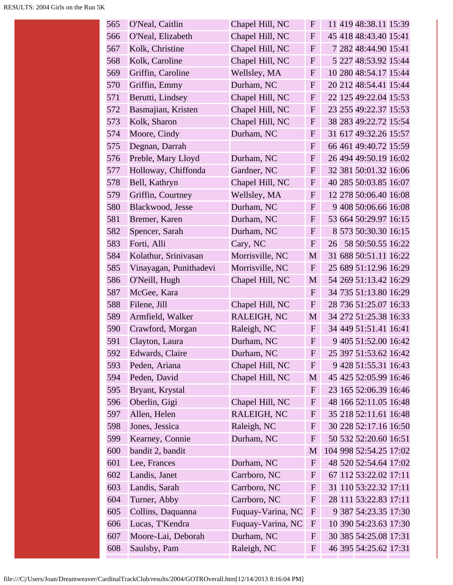| 565 | O'Neal, Caitlin        | Chapel Hill, NC   | $\mathbf F$  | 11 419 48:38.11 15:39   |
|-----|------------------------|-------------------|--------------|-------------------------|
| 566 | O'Neal, Elizabeth      | Chapel Hill, NC   | $\mathbf{F}$ | 45 418 48:43.40 15:41   |
| 567 | Kolk, Christine        | Chapel Hill, NC   | $\mathbf{F}$ | 7 282 48:44.90 15:41    |
| 568 | Kolk, Caroline         | Chapel Hill, NC   | $\mathbf{F}$ | 5 227 48:53.92 15:44    |
| 569 | Griffin, Caroline      | Wellsley, MA      | $\mathbf{F}$ | 10 280 48:54.17 15:44   |
| 570 | Griffin, Emmy          | Durham, NC        | $\mathbf{F}$ | 20 212 48:54.41 15:44   |
| 571 | Berutti, Lindsey       | Chapel Hill, NC   | $\mathbf{F}$ | 22 125 49:22.04 15:53   |
| 572 | Basmajian, Kristen     | Chapel Hill, NC   | $\mathbf{F}$ | 23 255 49:22.37 15:53   |
| 573 | Kolk, Sharon           | Chapel Hill, NC   | $\mathbf{F}$ | 38 283 49:22.72 15:54   |
| 574 | Moore, Cindy           | Durham, NC        | $\mathbf{F}$ | 31 617 49:32.26 15:57   |
| 575 | Degnan, Darrah         |                   | $\mathbf{F}$ | 66 461 49:40.72 15:59   |
| 576 | Preble, Mary Lloyd     | Durham, NC        | $\mathbf{F}$ | 26 494 49:50.19 16:02   |
| 577 | Holloway, Chiffonda    | Gardner, NC       | $\mathbf{F}$ | 32 381 50:01.32 16:06   |
| 578 | Bell, Kathryn          | Chapel Hill, NC   | $\mathbf F$  | 40 285 50:03.85 16:07   |
| 579 | Griffin, Courtney      | Wellsley, MA      | $\mathbf F$  | 12 278 50:06.40 16:08   |
| 580 | Blackwood, Jesse       | Durham, NC        | $\mathbf{F}$ | 9 408 50:06.66 16:08    |
| 581 | Bremer, Karen          | Durham, NC        | $\mathbf{F}$ | 53 664 50:29.97 16:15   |
| 582 | Spencer, Sarah         | Durham, NC        | $\mathbf{F}$ | 8 573 50:30.30 16:15    |
| 583 | Forti, Alli            | Cary, NC          | $\mathbf{F}$ | 58 50:50.55 16:22<br>26 |
| 584 | Kolathur, Srinivasan   | Morrisville, NC   | M            | 31 688 50:51.11 16:22   |
| 585 | Vinayagan, Punithadevi | Morrisville, NC   | $\mathbf{F}$ | 25 689 51:12.96 16:29   |
| 586 | O'Neill, Hugh          | Chapel Hill, NC   | M            | 54 269 51:13.42 16:29   |
| 587 | McGee, Kara            |                   | $\mathbf{F}$ | 34 735 51:13.80 16:29   |
| 588 | Filene, Jill           | Chapel Hill, NC   | $\mathbf{F}$ | 28 736 51:25.07 16:33   |
| 589 | Armfield, Walker       | RALEIGH, NC       | M            | 34 272 51:25.38 16:33   |
| 590 | Crawford, Morgan       | Raleigh, NC       | $\mathbf{F}$ | 34 449 51:51.41 16:41   |
| 591 | Clayton, Laura         | Durham, NC        | $\mathbf F$  | 9 405 51:52.00 16:42    |
| 592 | Edwards, Claire        | Durham, NC        | F            | 25 397 51:53.62 16:42   |
| 593 | Peden, Ariana          | Chapel Hill, NC   | $\mathbf{F}$ | 9 428 51:55.31 16:43    |
| 594 | Peden, David           | Chapel Hill, NC   | M            | 45 425 52:05.99 16:46   |
| 595 | Bryant, Krystal        |                   | $\mathbf F$  | 23 165 52:06.39 16:46   |
| 596 | Oberlin, Gigi          | Chapel Hill, NC   | $\mathbf F$  | 48 166 52:11.05 16:48   |
| 597 | Allen, Helen           | RALEIGH, NC       | F            | 35 218 52:11.61 16:48   |
| 598 | Jones, Jessica         | Raleigh, NC       | $\mathbf F$  | 30 228 52:17.16 16:50   |
| 599 | Kearney, Connie        | Durham, NC        | $\mathbf F$  | 50 532 52:20.60 16:51   |
| 600 | bandit 2, bandit       |                   | M            | 104 998 52:54.25 17:02  |
| 601 | Lee, Frances           | Durham, NC        | $\mathbf{F}$ | 48 520 52:54.64 17:02   |
| 602 | Landis, Janet          | Carrboro, NC      | $\mathbf{F}$ | 67 112 53:22.02 17:11   |
| 603 | Landis, Sarah          | Carrboro, NC      | $\mathbf F$  | 31 110 53:22.32 17:11   |
| 604 | Turner, Abby           | Carrboro, NC      | $\mathbf{F}$ | 28 111 53:22.83 17:11   |
| 605 | Collins, Daquanna      | Fuquay-Varina, NC | $\mathbf{F}$ | 9 387 54:23.35 17:30    |
| 606 | Lucas, T'Kendra        | Fuquay-Varina, NC | $\mathbf{F}$ | 10 390 54:23.63 17:30   |
| 607 | Moore-Lai, Deborah     | Durham, NC        | F            | 30 385 54:25.08 17:31   |
| 608 | Saulsby, Pam           | Raleigh, NC       | F            | 46 395 54:25.62 17:31   |